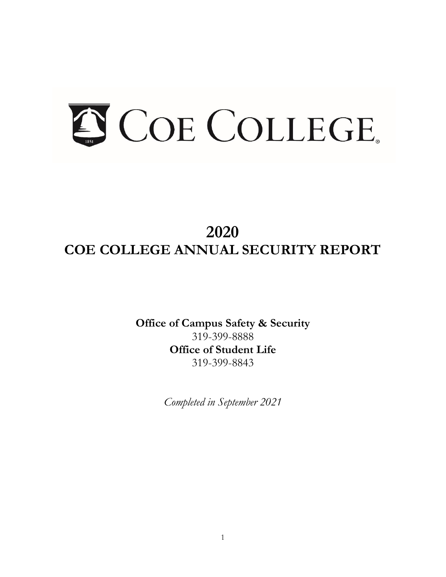# S COE COLLEGE.

# **2020 COE COLLEGE ANNUAL SECURITY REPORT**

**Office of Campus Safety & Security**  319-399-8888 **Office of Student Life**  319-399-8843

*Completed in September 2021*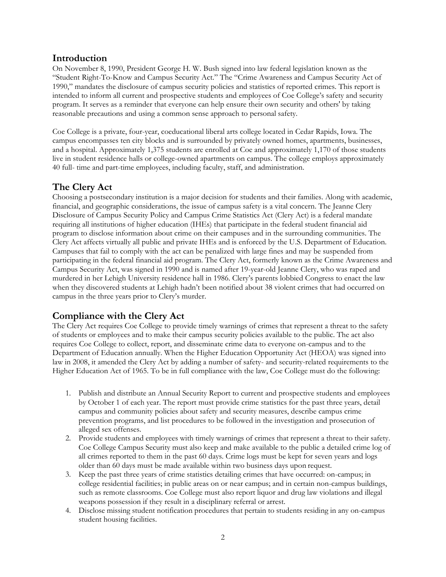# **Introduction**

On November 8, 1990, President George H. W. Bush signed into law federal legislation known as the "Student Right-To-Know and Campus Security Act." The "Crime Awareness and Campus Security Act of 1990," mandates the disclosure of campus security policies and statistics of reported crimes. This report is intended to inform all current and prospective students and employees of Coe College's safety and security program. It serves as a reminder that everyone can help ensure their own security and others' by taking reasonable precautions and using a common sense approach to personal safety.

Coe College is a private, four-year, coeducational liberal arts college located in Cedar Rapids, Iowa. The campus encompasses ten city blocks and is surrounded by privately owned homes, apartments, businesses, and a hospital. Approximately 1,375 students are enrolled at Coe and approximately 1,170 of those students live in student residence halls or college-owned apartments on campus. The college employs approximately 40 full- time and part-time employees, including faculty, staff, and administration.

# **The Clery Act**

Choosing a postsecondary institution is a major decision for students and their families. Along with academic, financial, and geographic considerations, the issue of campus safety is a vital concern. The Jeanne Clery Disclosure of Campus Security Policy and Campus Crime Statistics Act (Clery Act) is a federal mandate requiring all institutions of higher education (IHEs) that participate in the federal student financial aid program to disclose information about crime on their campuses and in the surrounding communities. The Clery Act affects virtually all public and private IHEs and is enforced by the U.S. Department of Education. Campuses that fail to comply with the act can be penalized with large fines and may be suspended from participating in the federal financial aid program. The Clery Act, formerly known as the Crime Awareness and Campus Security Act, was signed in 1990 and is named after 19-year-old Jeanne Clery, who was raped and murdered in her Lehigh University residence hall in 1986. Clery's parents lobbied Congress to enact the law when they discovered students at Lehigh hadn't been notified about 38 violent crimes that had occurred on campus in the three years prior to Clery's murder.

# **Compliance with the Clery Act**

 Higher Education Act of 1965. To be in full compliance with the law, Coe College must do the following: The Clery Act requires Coe College to provide timely warnings of crimes that represent a threat to the safety of students or employees and to make their campus security policies available to the public. The act also requires Coe College to collect, report, and disseminate crime data to everyone on-campus and to the Department of Education annually. When the Higher Education Opportunity Act (HEOA) was signed into law in 2008, it amended the Clery Act by adding a number of safety- and security-related requirements to the

- 1. Publish and distribute an Annual Security Report to current and prospective students and employees by October 1 of each year. The report must provide crime statistics for the past three years, detail campus and community policies about safety and security measures, describe campus crime prevention programs, and list procedures to be followed in the investigation and prosecution of alleged sex offenses.
- Coe College Campus Security must also keep and make available to the public a detailed crime log of 2. Provide students and employees with timely warnings of crimes that represent a threat to their safety. all crimes reported to them in the past 60 days. Crime logs must be kept for seven years and logs older than 60 days must be made available within two business days upon request.
- such as remote classrooms. Coe College must also report liquor and drug law violations and illegal 3. Keep the past three years of crime statistics detailing crimes that have occurred: on-campus; in college residential facilities; in public areas on or near campus; and in certain non-campus buildings, weapons possession if they result in a disciplinary referral or arrest.
- 4. Disclose missing student notification procedures that pertain to students residing in any on-campus student housing facilities.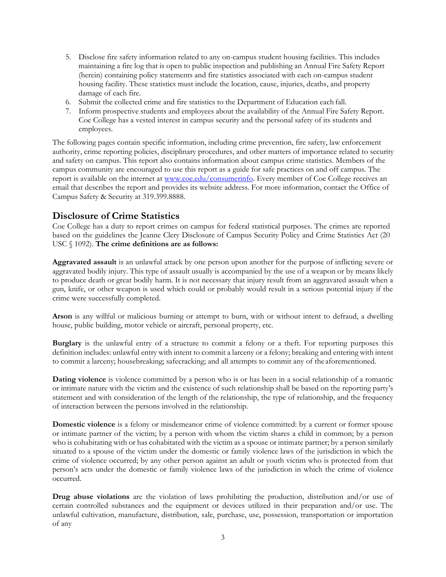- 5. Disclose fire safety information related to any on-campus student housing facilities. This includes maintaining a fire log that is open to public inspection and publishing an Annual Fire Safety Report (herein) containing policy statements and fire statistics associated with each on-campus student housing facility. These statistics must include the location, cause, injuries, deaths, and property damage of each fire.
- 6. Submit the collected crime and fire statistics to the Department of Education each fall.
- 7. Inform prospective students and employees about the availability of the Annual Fire Safety Report. Coe College has a vested interest in campus security and the personal safety of its students and employees.

report is available on the internet at **www.coe.edu/consumerinfo**. Every member of Coe College receives an The following pages contain specific information, including crime prevention, fire safety, law enforcement authority, crime reporting policies, disciplinary procedures, and other matters of importance related to security and safety on campus. This report also contains information about campus crime statistics. Members of the campus community are encouraged to use this report as a guide for safe practices on and off campus. The email that describes the report and provides its website address. For more information, contact the Office of Campus Safety & Security at 319.399.8888.

# **Disclosure of Crime Statistics**

 Coe College has a duty to report crimes on campus for federal statistical purposes. The crimes are reported based on the guidelines the Jeanne Clery Disclosure of Campus Security Policy and Crime Statistics Act (20 USC § 1092). **The crime definitions are as follows:** 

 **Aggravated assault** is an unlawful attack by one person upon another for the purpose of inflicting severe or to produce death or great bodily harm. It is not necessary that injury result from an aggravated assault when a gun, knife, or other weapon is used which could or probably would result in a serious potential injury if the aggravated bodily injury. This type of assault usually is accompanied by the use of a weapon or by means likely crime were successfully completed.

 **Arson** is any willful or malicious burning or attempt to burn, with or without intent to defraud, a dwelling house, public building, motor vehicle or aircraft, personal property, etc.

**Burglary** is the unlawful entry of a structure to commit a felony or a theft. For reporting purposes this definition includes: unlawful entry with intent to commit a larceny or a felony; breaking and entering with intent to commit a larceny; housebreaking; safecracking; and all attempts to commit any of the aforementioned.

 statement and with consideration of the length of the relationship, the type of relationship, and the frequency **Dating violence** is violence committed by a person who is or has been in a social relationship of a romantic or intimate nature with the victim and the existence of such relationship shall be based on the reporting party's of interaction between the persons involved in the relationship.

 or intimate partner of the victim; by a person with whom the victim shares a child in common; by a person crime of violence occurred; by any other person against an adult or youth victim who is protected from that person's acts under the domestic or family violence laws of the jurisdiction in which the crime of violence **Domestic violence** is a felony or misdemeanor crime of violence committed: by a current or former spouse who is cohabitating with or has cohabitated with the victim as a spouse or intimate partner; by a person similarly situated to a spouse of the victim under the domestic or family violence laws of the jurisdiction in which the occurred.

 **Drug abuse violations** are the violation of laws prohibiting the production, distribution and/or use of certain controlled substances and the equipment or devices utilized in their preparation and/or use. The unlawful cultivation, manufacture, distribution, sale, purchase, use, possession, transportation or importation of any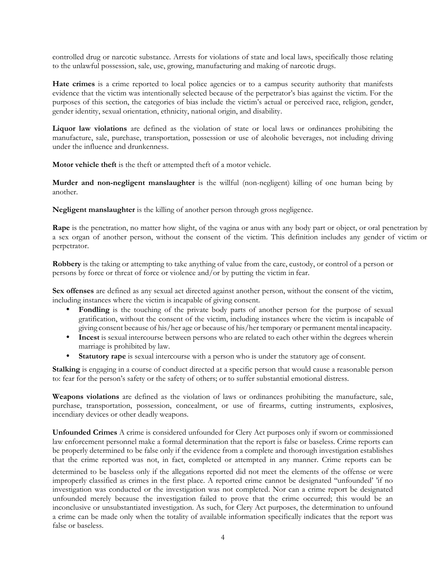controlled drug or narcotic substance. Arrests for violations of state and local laws, specifically those relating to the unlawful possession, sale, use, growing, manufacturing and making of narcotic drugs.

 **Hate crimes** is a crime reported to local police agencies or to a campus security authority that manifests evidence that the victim was intentionally selected because of the perpetrator's bias against the victim. For the purposes of this section, the categories of bias include the victim's actual or perceived race, religion, gender, gender identity, sexual orientation, ethnicity, national origin, and disability.

**Liquor law violations** are defined as the violation of state or local laws or ordinances prohibiting the manufacture, sale, purchase, transportation, possession or use of alcoholic beverages, not including driving under the influence and drunkenness.

**Motor vehicle theft** is the theft or attempted theft of a motor vehicle.

 **Murder and non-negligent manslaughter** is the willful (non-negligent) killing of one human being by another.

**Negligent manslaughter** is the killing of another person through gross negligence.

 **Rape** is the penetration, no matter how slight, of the vagina or anus with any body part or object, or oral penetration by a sex organ of another person, without the consent of the victim. This definition includes any gender of victim or perpetrator.

**Robbery** is the taking or attempting to take anything of value from the care, custody, or control of a person or persons by force or threat of force or violence and/or by putting the victim in fear.

Sex offenses are defined as any sexual act directed against another person, without the consent of the victim, including instances where the victim is incapable of giving consent.

- gratification, without the consent of the victim, including instances where the victim is incapable of • **Fondling** is the touching of the private body parts of another person for the purpose of sexual giving consent because of his/her age or because of his/her temporary or permanent mental incapacity.
- **Incest** is sexual intercourse between persons who are related to each other within the degrees wherein marriage is prohibited by law.
- **Statutory rape** is sexual intercourse with a person who is under the statutory age of consent.

**Stalking** is engaging in a course of conduct directed at a specific person that would cause a reasonable person to: fear for the person's safety or the safety of others; or to suffer substantial emotional distress.

**Weapons violations** are defined as the violation of laws or ordinances prohibiting the manufacture, sale, purchase, transportation, possession, concealment, or use of firearms, cutting instruments, explosives, incendiary devices or other deadly weapons.

 determined to be baseless only if the allegations reported did not meet the elements of the offense or were improperly classified as crimes in the first place. A reported crime cannot be designated ''unfounded' 'if no investigation was conducted or the investigation was not completed. Nor can a crime report be designated unfounded merely because the investigation failed to prove that the crime occurred; this would be an inconclusive or unsubstantiated investigation. As such, for Clery Act purposes, the determination to unfound **Unfounded Crimes** A crime is considered unfounded for Clery Act purposes only if sworn or commissioned law enforcement personnel make a formal determination that the report is false or baseless. Crime reports can be properly determined to be false only if the evidence from a complete and thorough investigation establishes that the crime reported was not, in fact, completed or attempted in any manner. Crime reports can be a crime can be made only when the totality of available information specifically indicates that the report was false or baseless.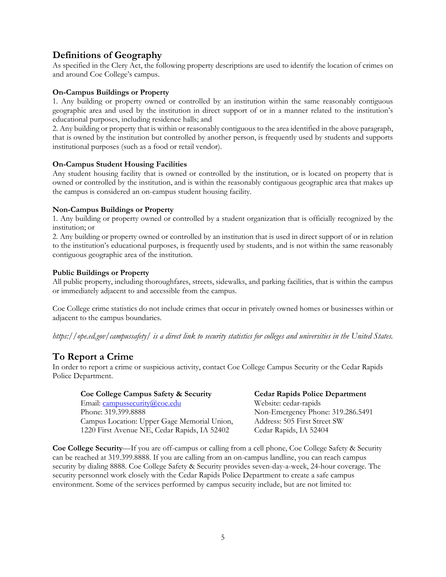# **Definitions of Geography**

As specified in the Clery Act, the following property descriptions are used to identify the location of crimes on and around Coe College's campus.

### **On-Campus Buildings or Property**

 geographic area and used by the institution in direct support of or in a manner related to the institution's 1. Any building or property owned or controlled by an institution within the same reasonably contiguous educational purposes, including residence halls; and

 that is owned by the institution but controlled by another person, is frequently used by students and supports 2. Any building or property that is within or reasonably contiguous to the area identified in the above paragraph, institutional purposes (such as a food or retail vendor).

### **On-Campus Student Housing Facilities**

 Any student housing facility that is owned or controlled by the institution, or is located on property that is owned or controlled by the institution, and is within the reasonably contiguous geographic area that makes up the campus is considered an on-campus student housing facility.

### **Non-Campus Buildings or Property**

 1. Any building or property owned or controlled by a student organization that is officially recognized by the institution; or

 to the institution's educational purposes, is frequently used by students, and is not within the same reasonably 2. Any building or property owned or controlled by an institution that is used in direct support of or in relation contiguous geographic area of the institution.

### **Public Buildings or Property**

All public property, including thoroughfares, streets, sidewalks, and parking facilities, that is within the campus or immediately adjacent to and accessible from the campus.

Coe College crime statistics do not include crimes that occur in privately owned homes or businesses within or adjacent to the campus boundaries.

*<https://ope.ed.gov/campussafety>/ is a direct link to security statistics for colleges and universities in the United States.* 

# **To Report a Crime**

In order to report a crime or suspicious activity, contact Coe College Campus Security or the Cedar Rapids Police Department.

| Coe College Campus Safety & Security         | <b>Cedar Rapids Police Department</b> |
|----------------------------------------------|---------------------------------------|
| Email: campussecurity@coe.edu                | Website: cedar-rapids                 |
| Phone: 319.399.8888                          | Non-Emergency Phone: 319.286.5491     |
| Campus Location: Upper Gage Memorial Union,  | Address: 505 First Street SW          |
| 1220 First Avenue NE, Cedar Rapids, IA 52402 | Cedar Rapids, IA 52404                |

**Coe College Security**—If you are off-campus or calling from a cell phone, Coe College Safety & Security can be reached at 319.399.8888. If you are calling from an on-campus landline, you can reach campus security by dialing 8888. Coe College Safety & Security provides seven-day-a-week, 24-hour coverage. The security personnel work closely with the Cedar Rapids Police Department to create a safe campus environment. Some of the services performed by campus security include, but are not limited to: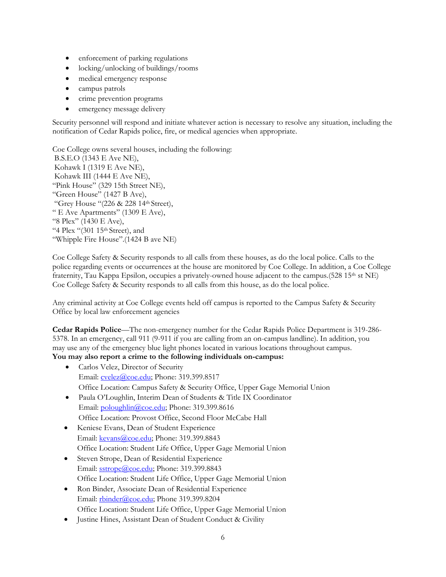- enforcement of parking regulations
- locking/unlocking of buildings/rooms
- medical emergency response
- campus patrols
- crime prevention programs
- emergency message delivery

Security personnel will respond and initiate whatever action is necessary to resolve any situation, including the notification of Cedar Rapids police, fire, or medical agencies when appropriate.

Coe College owns several houses, including the following: B.S.E.O (1343 E Ave NE), Kohawk I (1319 E Ave NE), Kohawk III (1444 E Ave NE), "Pink House" (329 15th Street NE), "Green House" (1427 B Ave), "Grey House "(226 & 228 14th Street), " E Ave Apartments" (1309 E Ave), "8 Plex" (1430 E Ave), "4 Plex " $(301 15<sup>th</sup> Street)$ , and "Whipple Fire House".(1424 B ave NE)

Coe College Safety & Security responds to all calls from these houses, as do the local police. Calls to the police regarding events or occurrences at the house are monitored by Coe College. In addition, a Coe College fraternity, Tau Kappa Epsilon, occupies a privately-owned house adjacent to the campus.(528 15<sup>th</sup> st NE) Coe College Safety & Security responds to all calls from this house, as do the local police.

Any criminal activity at Coe College events held off campus is reported to the Campus Safety & Security Office by local law enforcement agencies

**Cedar Rapids Police**—The non-emergency number for the Cedar Rapids Police Department is 319-286- 5378. In an emergency, call 911 (9-911 if you are calling from an on-campus landline). In addition, you may use any of the emergency blue light phones located in various locations throughout campus. **You may also report a crime to the following individuals on-campus:** 

- Carlos Velez, Director of Security Email: [cvelez@coe.edu;](mailto:cvelez@coe.edu) Phone: 319.399.8517 Office Location: Campus Safety & Security Office, Upper Gage Memorial Union
- Paula O'Loughlin, Interim Dean of Students & Title IX Coordinator Email: [poloughlin@coe.edu;](mailto:poloughlin@coe.edu) Phone: 319.399.8616 Office Location: Provost Office, Second Floor McCabe Hall
- Keniese Evans, Dean of Student Experience Email: [kevans@coe.edu;](mailto:kevans@coe.edu) Phone: 319.399.8843 Office Location: Student Life Office, Upper Gage Memorial Union
- Steven Strope, Dean of Residential Experience Email: [sstrope@coe.edu;](mailto:sstrope@coe.edu) Phone: 319.399.8843 Office Location: Student Life Office, Upper Gage Memorial Union
- Ron Binder, Associate Dean of Residential Experience Email: [rbinder@coe.edu;](mailto:rbinder@coe.edu) Phone 319.399.8204 Office Location: Student Life Office, Upper Gage Memorial Union
- Justine Hines, Assistant Dean of Student Conduct & Civility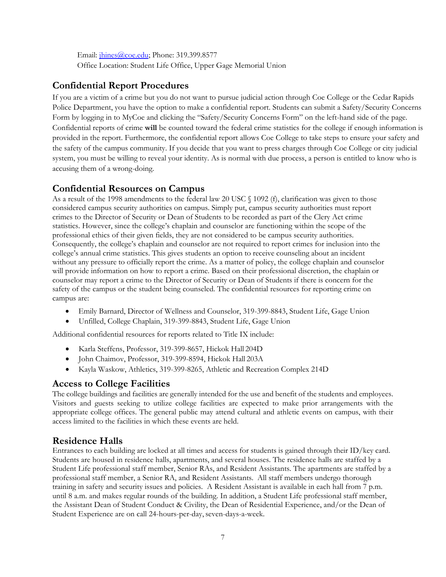Email: *jhines@coe.edu*; Phone: 319.399.8577 Office Location: Student Life Office, Upper Gage Memorial Union

# **Confidential Report Procedures**

 provided in the report. Furthermore, the confidential report allows Coe College to take steps to ensure your safety and If you are a victim of a crime but you do not want to pursue judicial action through Coe College or the Cedar Rapids Police Department, you have the option to make a confidential report. Students can submit a Safety/Security Concerns Form by logging in to MyCoe and clicking the "Safety/Security Concerns Form" on the left-hand side of the page. Confidential reports of crime **will** be counted toward the federal crime statistics for the college if enough information is the safety of the campus community. If you decide that you want to press charges through Coe College or city judicial system, you must be willing to reveal your identity. As is normal with due process, a person is entitled to know who is accusing them of a wrong-doing.

# **Confidential Resources on Campus**

 will provide information on how to report a crime. Based on their professional discretion, the chaplain or As a result of the 1998 amendments to the federal law 20 USC § 1092 (f), clarification was given to those considered campus security authorities on campus. Simply put, campus security authorities must report crimes to the Director of Security or Dean of Students to be recorded as part of the Clery Act crime statistics. However, since the college's chaplain and counselor are functioning within the scope of the professional ethics of their given fields, they are not considered to be campus security authorities. Consequently, the college's chaplain and counselor are not required to report crimes for inclusion into the college's annual crime statistics. This gives students an option to receive counseling about an incident without any pressure to officially report the crime. As a matter of policy, the college chaplain and counselor counselor may report a crime to the Director of Security or Dean of Students if there is concern for the safety of the campus or the student being counseled. The confidential resources for reporting crime on campus are:

- Emily Barnard, Director of Wellness and Counselor, 319-399-8843, Student Life, Gage Union
- Unfilled, College Chaplain, 319-399-8843, Student Life, Gage Union

Additional confidential resources for reports related to Title IX include:

- Karla Steffens, Professor, 319-399-8657, Hickok Hall 204D
- John Chaimov, Professor, 319-399-8594, Hickok Hall 203A
- Kayla Waskow, Athletics, 319-399-8265, Athletic and Recreation Complex 214D

# **Access to College Facilities**

 appropriate college offices. The general public may attend cultural and athletic events on campus, with their The college buildings and facilities are generally intended for the use and benefit of the students and employees. Visitors and guests seeking to utilize college facilities are expected to make prior arrangements with the access limited to the facilities in which these events are held.

# **Residence Halls**

Entrances to each building are locked at all times and access for students is gained through their ID/key card. Students are housed in residence halls, apartments, and several houses. The residence halls are staffed by a Student Life professional staff member, Senior RAs, and Resident Assistants. The apartments are staffed by a professional staff member, a Senior RA, and Resident Assistants. All staff members undergo thorough training in safety and security issues and policies. A Resident Assistant is available in each hall from 7 p.m. until 8 a.m. and makes regular rounds of the building. In addition, a Student Life professional staff member, the Assistant Dean of Student Conduct & Civility, the Dean of Residential Experience, and/or the Dean of Student Experience are on call 24-hours-per-day, seven-days-a-week.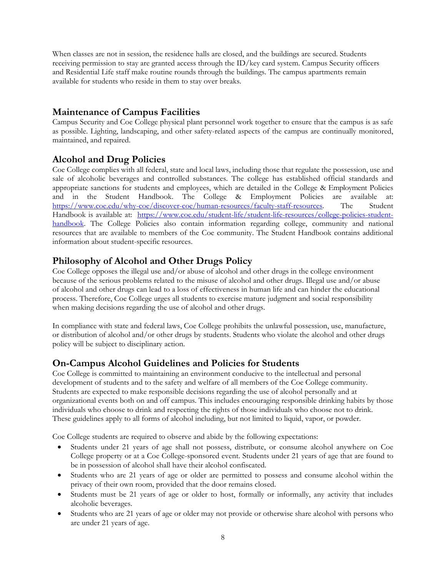When classes are not in session, the residence halls are closed, and the buildings are secured. Students receiving permission to stay are granted access through the ID/key card system. Campus Security officers and Residential Life staff make routine rounds through the buildings. The campus apartments remain available for students who reside in them to stay over breaks.

# **Maintenance of Campus Facilities**

 Campus Security and Coe College physical plant personnel work together to ensure that the campus is as safe as possible. Lighting, landscaping, and other safety-related aspects of the campus are continually monitored, maintained, and repaired.

# **Alcohol and Drug Policies**

 appropriate sanctions for students and employees, which are detailed in the College & Employment Policies The Coe College complies with all federal, state and local laws, including those that regulate the possession, use and sale of alcoholic beverages and controlled substances. The college has established official standards and and in the Student Handbook. The College & Employment Policies are available at: [https://www.coe.edu/why-coe/discover-coe/human-resources/faculty-staff-resources.](https://www.coe.edu/why-coe/discover-coe/human-resources/faculty-staff-resources) The Student Handbook is available at: [https://www.coe.edu/student-life/student-life-resources/college-policies-student](https://www.coe.edu/student-life/student-life-resources/college-policies-student-handbook)[handbook.](https://www.coe.edu/student-life/student-life-resources/college-policies-student-handbook) The College Policies also contain information regarding college, community and national resources that are available to members of the Coe community. The Student Handbook contains additional information about student-specific resources.

# **Philosophy of Alcohol and Other Drugs Policy**

Coe College opposes the illegal use and/or abuse of alcohol and other drugs in the college environment because of the serious problems related to the misuse of alcohol and other drugs. Illegal use and/or abuse of alcohol and other drugs can lead to a loss of effectiveness in human life and can hinder the educational process. Therefore, Coe College urges all students to exercise mature judgment and social responsibility when making decisions regarding the use of alcohol and other drugs.

In compliance with state and federal laws, Coe College prohibits the unlawful possession, use, manufacture, or distribution of alcohol and/or other drugs by students. Students who violate the alcohol and other drugs policy will be subject to disciplinary action.

# **On-Campus Alcohol Guidelines and Policies for Students**

Coe College is committed to maintaining an environment conducive to the intellectual and personal development of students and to the safety and welfare of all members of the Coe College community. Students are expected to make responsible decisions regarding the use of alcohol personally and at organizational events both on and off campus. This includes encouraging responsible drinking habits by those individuals who choose to drink and respecting the rights of those individuals who choose not to drink. These guidelines apply to all forms of alcohol including, but not limited to liquid, vapor, or powder.

Coe College students are required to observe and abide by the following expectations:

- Students under 21 years of age shall not possess, distribute, or consume alcohol anywhere on Coe College property or at a Coe College-sponsored event. Students under 21 years of age that are found to be in possession of alcohol shall have their alcohol confiscated.
- Students who are 21 years of age or older are permitted to possess and consume alcohol within the privacy of their own room, provided that the door remains closed.
- Students must be 21 years of age or older to host, formally or informally, any activity that includes alcoholic beverages.
- Students who are 21 years of age or older may not provide or otherwise share alcohol with persons who are under 21 years of age.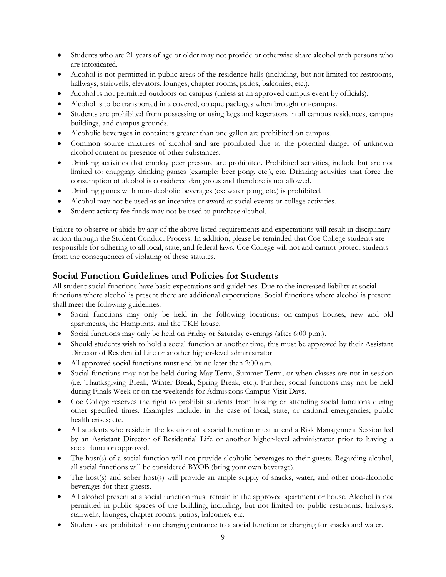- Students who are 21 years of age or older may not provide or otherwise share alcohol with persons who are intoxicated.
- Alcohol is not permitted in public areas of the residence halls (including, but not limited to: restrooms, hallways, stairwells, elevators, lounges, chapter rooms, patios, balconies, etc.).
- Alcohol is not permitted outdoors on campus (unless at an approved campus event by officials).
- Alcohol is to be transported in a covered, opaque packages when brought on-campus.
- Students are prohibited from possessing or using kegs and kegerators in all campus residences, campus buildings, and campus grounds.
- Alcoholic beverages in containers greater than one gallon are prohibited on campus.
- Common source mixtures of alcohol and are prohibited due to the potential danger of unknown alcohol content or presence of other substances.
- Drinking activities that employ peer pressure are prohibited. Prohibited activities, include but are not limited to: chugging, drinking games (example: beer pong, etc.), etc. Drinking activities that force the consumption of alcohol is considered dangerous and therefore is not allowed.
- Drinking games with non-alcoholic beverages (ex: water pong, etc.) is prohibited.
- Alcohol may not be used as an incentive or award at social events or college activities.
- Student activity fee funds may not be used to purchase alcohol.

Failure to observe or abide by any of the above listed requirements and expectations will result in disciplinary action through the Student Conduct Process. In addition, please be reminded that Coe College students are responsible for adhering to all local, state, and federal laws. Coe College will not and cannot protect students from the consequences of violating of these statutes.

# **Social Function Guidelines and Policies for Students**

All student social functions have basic expectations and guidelines. Due to the increased liability at social functions where alcohol is present there are additional expectations. Social functions where alcohol is present shall meet the following guidelines:

- Social functions may only be held in the following locations: on-campus houses, new and old apartments, the Hamptons, and the TKE house.
- Social functions may only be held on Friday or Saturday evenings (after 6:00 p.m.).
- Should students wish to hold a social function at another time, this must be approved by their Assistant Director of Residential Life or another higher-level administrator.
- All approved social functions must end by no later than 2:00 a.m.
- Social functions may not be held during May Term, Summer Term, or when classes are not in session (i.e. Thanksgiving Break, Winter Break, Spring Break, etc.). Further, social functions may not be held during Finals Week or on the weekends for Admissions Campus Visit Days.
- Coe College reserves the right to prohibit students from hosting or attending social functions during other specified times. Examples include: in the case of local, state, or national emergencies; public health crises; etc.
- by an Assistant Director of Residential Life or another higher-level administrator prior to having a All students who reside in the location of a social function must attend a Risk Management Session led social function approved.
- The host(s) of a social function will not provide alcoholic beverages to their guests. Regarding alcohol, all social functions will be considered BYOB (bring your own beverage).
- The host(s) and sober host(s) will provide an ample supply of snacks, water, and other non-alcoholic beverages for their guests.
- permitted in public spaces of the building, including, but not limited to: public restrooms, hallways, All alcohol present at a social function must remain in the approved apartment or house. Alcohol is not stairwells, lounges, chapter rooms, patios, balconies, etc.
- Students are prohibited from charging entrance to a social function or charging for snacks and water.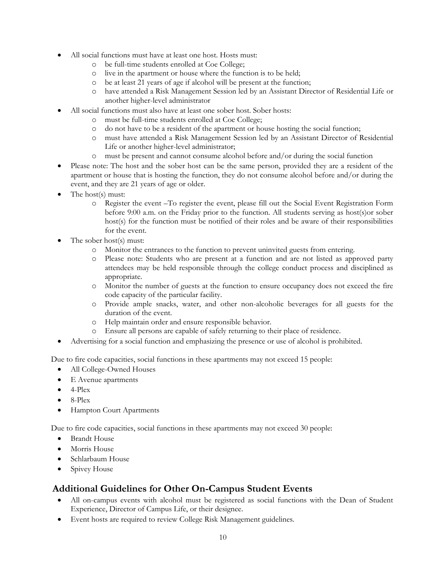- All social functions must have at least one host. Hosts must:
	- o be full-time students enrolled at Coe College;
	- o live in the apartment or house where the function is to be held;
	- o be at least 21 years of age if alcohol will be present at the function;
	- o have attended a Risk Management Session led by an Assistant Director of Residential Life or another higher-level administrator
- All social functions must also have at least one sober host. Sober hosts:
	- o must be full-time students enrolled at Coe College;
	- o do not have to be a resident of the apartment or house hosting the social function;
	- o must have attended a Risk Management Session led by an Assistant Director of Residential Life or another higher-level administrator;
	- o must be present and cannot consume alcohol before and/or during the social function
- Please note: The host and the sober host can be the same person, provided they are a resident of the apartment or house that is hosting the function, they do not consume alcohol before and/or during the event, and they are 21 years of age or older.
- The host(s) must:
	- o Register the event –To register the event, please fill out the Social Event Registration Form before 9:00 a.m. on the Friday prior to the function. All students serving as host(s)or sober host(s) for the function must be notified of their roles and be aware of their responsibilities for the event.
- The sober host(s) must:
	- o Monitor the entrances to the function to prevent uninvited guests from entering.
	- attendees may be held responsible through the college conduct process and disciplined as o Please note: Students who are present at a function and are not listed as approved party appropriate.
	- o Monitor the number of guests at the function to ensure occupancy does not exceed the fire code capacity of the particular facility.
	- o Provide ample snacks, water, and other non-alcoholic beverages for all guests for the duration of the event.
	- o Help maintain order and ensure responsible behavior.
	- o Ensure all persons are capable of safely returning to their place of residence.
- Advertising for a social function and emphasizing the presence or use of alcohol is prohibited.

Due to fire code capacities, social functions in these apartments may not exceed 15 people:

- All College-Owned Houses
- E Avenue apartments
- $\bullet$  4-Plex
- 8-Plex
- Hampton Court Apartments

Due to fire code capacities, social functions in these apartments may not exceed 30 people:

- Brandt House
- Morris House
- Schlarbaum House
- Spivey House

# **Additional Guidelines for Other On-Campus Student Events**

- All on-campus events with alcohol must be registered as social functions with the Dean of Student Experience, Director of Campus Life, or their designee.
- Event hosts are required to review College Risk Management guidelines.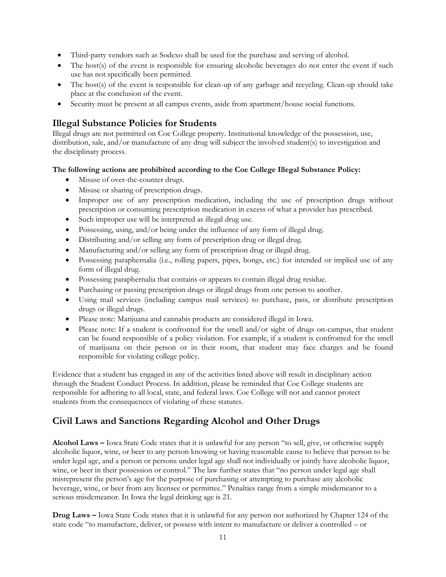- Third-party vendors such as Sodexo shall be used for the purchase and serving of alcohol.
- The host(s) of the event is responsible for ensuring alcoholic beverages do not enter the event if such use has not specifically been permitted.
- The host(s) of the event is responsible for clean-up of any garbage and recycling. Clean-up should take place at the conclusion of the event.
- Security must be present at all campus events, aside from apartment/house social functions.

# **Illegal Substance Policies for Students**

Illegal drugs are not permitted on Coe College property. Institutional knowledge of the possession, use, distribution, sale, and/or manufacture of any drug will subject the involved student(s) to investigation and the disciplinary process.

### **The following actions are prohibited according to the Coe College Illegal Substance Policy:**

- Misuse of over-the-counter drugs.
- Misuse or sharing of prescription drugs.
- Improper use of any prescription medication, including the use of prescription drugs without prescription or consuming prescription medication in excess of what a provider has prescribed.
- Such improper use will be interpreted as illegal drug use.
- Possessing, using, and/or being under the influence of any form of illegal drug.
- Distributing and/or selling any form of prescription drug or illegal drug.
- Manufacturing and/or selling any form of prescription drug or illegal drug.
- Possessing paraphernalia (i.e., rolling papers, pipes, bongs, etc.) for intended or implied use of any form of illegal drug.
- Possessing paraphernalia that contains or appears to contain illegal drug residue.
- Purchasing or passing prescription drugs or illegal drugs from one person to another.
- Using mail services (including campus mail services) to purchase, pass, or distribute prescription drugs or illegal drugs.
- Please note: Marijuana and cannabis products are considered illegal in Iowa.
- can be found responsible of a policy violation. For example, if a student is confronted for the smell of marijuana on their person or in their room, that student may face charges and be found Please note: If a student is confronted for the smell and/or sight of drugs on-campus, that student responsible for violating college policy.

Evidence that a student has engaged in any of the activities listed above will result in disciplinary action through the Student Conduct Process. In addition, please be reminded that Coe College students are responsible for adhering to all local, state, and federal laws. Coe College will not and cannot protect students from the consequences of violating of these statutes.

# **Civil Laws and Sanctions Regarding Alcohol and Other Drugs**

**Alcohol Laws –** Iowa State Code states that it is unlawful for any person "to sell, give, or otherwise supply alcoholic liquor, wine, or beer to any person knowing or having reasonable cause to believe that person to be under legal age, and a person or persons under legal age shall not individually or jointly have alcoholic liquor, wine, or beer in their possession or control." The law further states that "no person under legal age shall misrepresent the person's age for the purpose of purchasing or attempting to purchase any alcoholic beverage, wine, or beer from any licensee or permittee." Penalties range from a simple misdemeanor to a serious misdemeanor. In Iowa the legal drinking age is 21.

**Drug Laws –** Iowa State Code states that it is unlawful for any person not authorized by Chapter 124 of the state code "to manufacture, deliver, or possess with intent to manufacture or deliver a controlled – or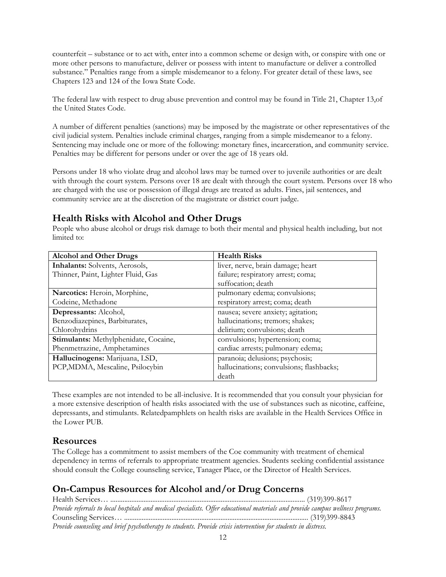counterfeit – substance or to act with, enter into a common scheme or design with, or conspire with one or more other persons to manufacture, deliver or possess with intent to manufacture or deliver a controlled substance." Penalties range from a simple misdemeanor to a felony. For greater detail of these laws, see Chapters 123 and 124 of the Iowa State Code.

The federal law with respect to drug abuse prevention and control may be found in Title 21, Chapter 13,of the United States Code.

A number of different penalties (sanctions) may be imposed by the magistrate or other representatives of the civil judicial system. Penalties include criminal charges, ranging from a simple misdemeanor to a felony. Sentencing may include one or more of the following: monetary fines, incarceration, and community service. Penalties may be different for persons under or over the age of 18 years old.

Persons under 18 who violate drug and alcohol laws may be turned over to juvenile authorities or are dealt with through the court system. Persons over 18 are dealt with through the court system. Persons over 18 who are charged with the use or possession of illegal drugs are treated as adults. Fines, jail sentences, and community service are at the discretion of the magistrate or district court judge.

# **Health Risks with Alcohol and Other Drugs**

People who abuse alcohol or drugs risk damage to both their mental and physical health including, but not limited to:

| <b>Alcohol and Other Drugs</b>        | <b>Health Risks</b>                      |
|---------------------------------------|------------------------------------------|
| Inhalants: Solvents, Aerosols,        | liver, nerve, brain damage; heart        |
| Thinner, Paint, Lighter Fluid, Gas    | failure; respiratory arrest; coma;       |
|                                       | suffocation; death                       |
| Narcotics: Heroin, Morphine,          | pulmonary edema; convulsions;            |
| Codeine, Methadone                    | respiratory arrest; coma; death          |
| Depressants: Alcohol,                 | nausea; severe anxiety; agitation;       |
| Benzodiazepines, Barbiturates,        | hallucinations; tremors; shakes;         |
| Chlorohydrins                         | delirium; convulsions; death             |
| Stimulants: Methylphenidate, Cocaine, | convulsions; hypertension; coma;         |
| Phenmetrazine, Amphetamines           | cardiac arrests; pulmonary edema;        |
| Hallucinogens: Marijuana, LSD,        | paranoia; delusions; psychosis;          |
| PCP, MDMA, Mescaline, Psilocybin      | hallucinations; convulsions; flashbacks; |
|                                       | death                                    |

These examples are not intended to be all-inclusive. It is recommended that you consult your physician for a more extensive description of health risks associated with the use of substances such as nicotine, caffeine, depressants, and stimulants. Relatedpamphlets on health risks are available in the Health Services Office in the Lower PUB.

# **Resources**

The College has a commitment to assist members of the Coe community with treatment of chemical dependency in terms of referrals to appropriate treatment agencies. Students seeking confidential assistance should consult the College counseling service, Tanager Place, or the Director of Health Services.

# **On-Campus Resources for Alcohol and/or Drug Concerns**

Health Services… ............................................................................................................... (319)399-8617 *Provide referrals to local hospitals and medical specialists. Offer educational materials and provide campus wellness programs.*  Counseling Services… ......................................................................................................... (319)399-8843 *Provide counseling and brief psychotherapy to students. Provide crisis intervention for students in distress.*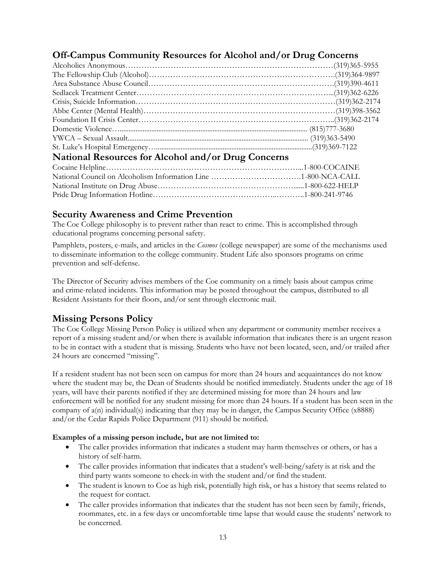# **Off-Campus Community Resources for Alcohol and/or Drug Concerns**

| National Resources for Alcohol and/or Drug Concerns |
|-----------------------------------------------------|
|                                                     |
|                                                     |
|                                                     |
|                                                     |
|                                                     |

# **Security Awareness and Crime Prevention**

The Coe College philosophy is to prevent rather than react to crime. This is accomplished through educational programs concerning personal safety.

 Pamphlets, posters, e-mails, and articles in the *Cosmos* (college newspaper) are some of the mechanisms used to disseminate information to the college community. Student Life also sponsors programs on crime prevention and self-defense.

The Director of Security advises members of the Coe community on a timely basis about campus crime and crime-related incidents. This information may be posted throughout the campus, distributed to all Resident Assistants for their floors, and/or sent through electronic mail.

# **Missing Persons Policy**

The Coe College Missing Person Policy is utilized when any department or community member receives a report of a missing student and/or when there is available information that indicates there is an urgent reason to be in contact with a student that is missing. Students who have not been located, seen, and/or trailed after 24 hours are concerned "missing".

 company of a(n) individual(s) indicating that they may be in danger, the Campus Security Office (x8888) If a resident student has not been seen on campus for more than 24 hours and acquaintances do not know where the student may be, the Dean of Students should be notified immediately. Students under the age of 18 years, will have their parents notified if they are determined missing for more than 24 hours and law enforcement will be notified for any student missing for more than 24 hours. If a student has been seen in the and/or the Cedar Rapids Police Department (911) should be notified.

### **Examples of a missing person include, but are not limited to:**

- The caller provides information that indicates a student may harm themselves or others, or has a history of self-harm.
- The caller provides information that indicates that a student's well-being/safety is at risk and the third party wants someone to check-in with the student and/or find the student.
- The student is known to Coe as high risk, potentially high risk, or has a history that seems related to the request for contact.
- The caller provides information that indicates that the student has not been seen by family, friends, roommates, etc. in a few days or uncomfortable time lapse that would cause the students' network to be concerned.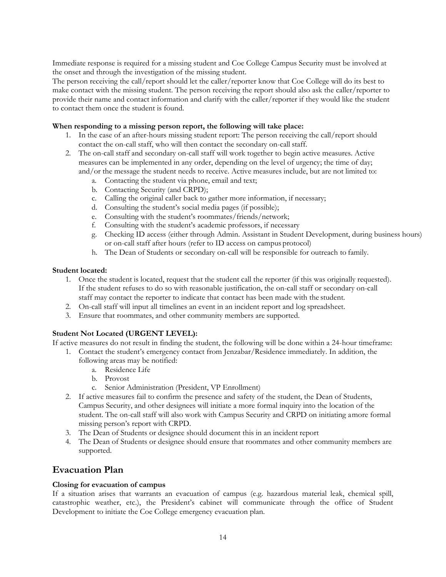Immediate response is required for a missing student and Coe College Campus Security must be involved at the onset and through the investigation of the missing student.

 The person receiving the call/report should let the caller/reporter know that Coe College will do its best to make contact with the missing student. The person receiving the report should also ask the caller/reporter to provide their name and contact information and clarify with the caller/reporter if they would like the student to contact them once the student is found.

### **When responding to a missing person report, the following will take place:**

- 1. In the case of an after-hours missing student report: The person receiving the call/report should contact the on-call staff, who will then contact the secondary on-call staff.
- 2. The on-call staff and secondary on-call staff will work together to begin active measures. Active measures can be implemented in any order, depending on the level of urgency; the time of day; and/or the message the student needs to receive. Active measures include, but are not limited to:
	- a. Contacting the student via phone, email and text;
	- b. Contacting Security (and CRPD);
	- c. Calling the original caller back to gather more information, if necessary;
	- d. Consulting the student's social media pages (if possible);
	- e. Consulting with the student's roommates/friends/network;
	- f. Consulting with the student's academic professors, if necessary
	- g. Checking ID access (either through Admin. Assistant in Student Development, during business hours) or on-call staff after hours (refer to ID access on campus protocol)
	- h. The Dean of Students or secondary on-call will be responsible for outreach to family.

### **Student located:**

- If the student refuses to do so with reasonable justification, the on-call staff or secondary on-call staff may contact the reporter to indicate that contact has been made with the student. 1. Once the student is located, request that the student call the reporter (if this was originally requested).
- 2. On-call staff will input all timelines an event in an incident report and log spreadsheet.
- 3. Ensure that roommates, and other community members are supported.

### **Student Not Located (URGENT LEVEL):**

If active measures do not result in finding the student, the following will be done within a 24-hour timeframe:

- 1. Contact the student's emergency contact from Jenzabar/Residence immediately. In addition, the
	- following areas may be notified:
		- a. Residence Life
		- b. Provost<br>c. Senior A
		- Senior Administration (President, VP Enrollment)
- 2. If active measures fail to confirm the presence and safety of the student, the Dean of Students, Campus Security, and other designees will initiate a more formal inquiry into the location of the student. The on-call staff will also work with Campus Security and CRPD on initiating amore formal missing person's report with CRPD.
- 3. The Dean of Students or designee should document this in an incident report
- 4. The Dean of Students or designee should ensure that roommates and other community members are supported.

# **Evacuation Plan**

### **Closing for evacuation of campus**

If a situation arises that warrants an evacuation of campus (e.g. hazardous material leak, chemical spill, catastrophic weather, etc.), the President's cabinet will communicate through the office of Student Development to initiate the Coe College emergency evacuation plan.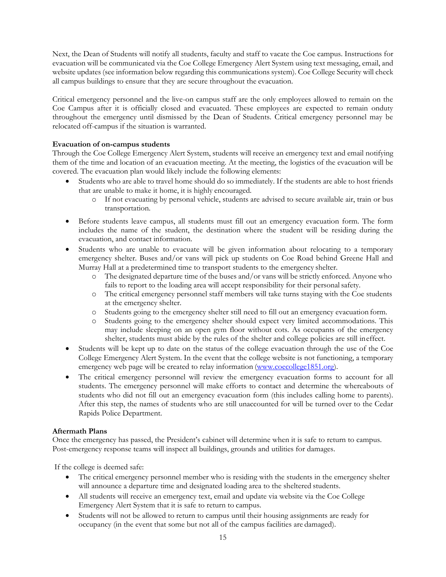Next, the Dean of Students will notify all students, faculty and staff to vacate the Coe campus. Instructions for evacuation will be communicated via the Coe College Emergency Alert System using text messaging, email, and website updates (see information below regarding this communications system). Coe College Security will check all campus buildings to ensure that they are secure throughout the evacuation.

 Critical emergency personnel and the live-on campus staff are the only employees allowed to remain on the Coe Campus after it is officially closed and evacuated. These employees are expected to remain onduty throughout the emergency until dismissed by the Dean of Students. Critical emergency personnel may be relocated off-campus if the situation is warranted.

### **Evacuation of on-campus students**

Through the Coe College Emergency Alert System, students will receive an emergency text and email notifying them of the time and location of an evacuation meeting. At the meeting, the logistics of the evacuation will be covered. The evacuation plan would likely include the following elements:

- Students who are able to travel home should do so immediately. If the students are able to host friends that are unable to make it home, it is highly encouraged.
	- o If not evacuating by personal vehicle, students are advised to secure available air, train or bus transportation.
- includes the name of the student, the destination where the student will be residing during the Before students leave campus, all students must fill out an emergency evacuation form. The form evacuation, and contact information.
- emergency shelter. Buses and/or vans will pick up students on Coe Road behind Greene Hall and Students who are unable to evacuate will be given information about relocating to a temporary Murray Hall at a predetermined time to transport students to the emergency shelter.
	- o The designated departure time of the buses and/or vans will be strictly enforced. Anyone who fails to report to the loading area will accept responsibility for their personal safety.
	- o The critical emergency personnel staff members will take turns staying with the Coe students at the emergency shelter.
	- o Students going to the emergency shelter still need to fill out an emergency evacuation form.
	- o Students going to the emergency shelter should expect very limited accommodations. This may include sleeping on an open gym floor without cots. As occupants of the emergency shelter, students must abide by the rules of the shelter and college policies are still ineffect.
- Students will be kept up to date on the status of the college evacuation through the use of the Coe College Emergency Alert System. In the event that the college website is not functioning, a temporary emergency web page will be created to relay information [\(www.coecollege1851.org\)](http://www.coecollege1851.org/).
- students. The emergency personnel will make efforts to contact and determine the whereabouts of students who did not fill out an emergency evacuation form (this includes calling home to parents). After this step, the names of students who are still unaccounted for will be turned over to the Cedar The critical emergency personnel will review the emergency evacuation forms to account for all Rapids Police Department.

### **Aftermath Plans**

Once the emergency has passed, the President's cabinet will determine when it is safe to return to campus. Post-emergency response teams will inspect all buildings, grounds and utilities for damages.

If the college is deemed safe:

- The critical emergency personnel member who is residing with the students in the emergency shelter will announce a departure time and designated loading area to the sheltered students.
- All students will receive an emergency text, email and update via website via the Coe College Emergency Alert System that it is safe to return to campus.
- Students will not be allowed to return to campus until their housing assignments are ready for occupancy (in the event that some but not all of the campus facilities are damaged).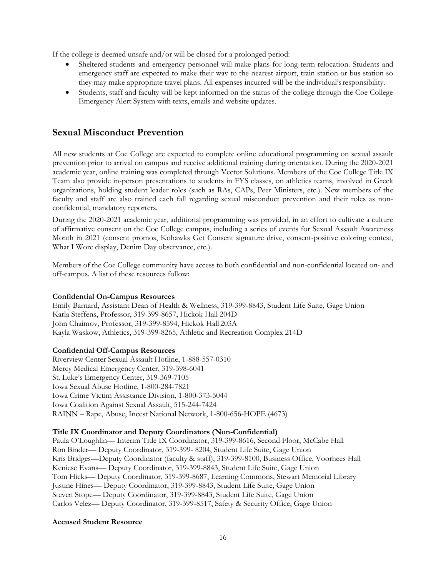If the college is deemed unsafe and/or will be closed for a prolonged period:

- emergency staff are expected to make their way to the nearest airport, train station or bus station so Sheltered students and emergency personnel will make plans for long-term relocation. Students and they may make appropriate travel plans. All expenses incurred will be the individual'sresponsibility.
- Students, staff and faculty will be kept informed on the status of the college through the Coe College Emergency Alert System with texts, emails and website updates.

# **Sexual Misconduct Prevention**

All new students at Coe College are expected to complete online educational programming on sexual assault prevention prior to arrival on campus and receive additional training during orientation. During the 2020-2021 academic year, online training was completed through Vector Solutions. Members of the Coe College Title IX Team also provide in-person presentations to students in FYS classes, on athletics teams, involved in Greek organizations, holding student leader roles (such as RAs, CAPs, Peer Ministers, etc.). New members of the faculty and staff are also trained each fall regarding sexual misconduct prevention and their roles as nonconfidential, mandatory reporters.

 During the 2020-2021 academic year, additional programming was provided, in an effort to cultivate a culture Month in 2021 (consent promos, Kohawks Get Consent signature drive, consent-positive coloring contest, of affirmative consent on the Coe College campus, including a series of events for Sexual Assault Awareness What I Wore display, Denim Day observance, etc.).

Members of the Coe College community have access to both confidential and non-confidential located on- and off-campus. A list of these resources follow:

### **Confidential On-Campus Resources**

Emily Barnard, Assistant Dean of Health & Wellness, 319-399-8843, Student Life Suite, Gage Union Karla Steffens, Professor, 319-399-8657, Hickok Hall 204D John Chaimov, Professor, 319-399-8594, Hickok Hall 203A Kayla Waskow, Athletics, 319-399-8265, Athletic and Recreation Complex 214D

### **Confidential Off-Campus Resources**

Riverview Center Sexual Assault Hotline, 1-888-557-0310 Mercy Medical Emergency Center, 319-398-6041 St. Luke's Emergency Center, 319-369-7105 Iowa Sexual Abuse Hotline, 1-800-284-7821 Iowa Crime Victim Assistance Division, 1-800-373-5044 Iowa Coalition Against Sexual Assault, 515-244-7424 RAINN – Rape, Abuse, Incest National Network, 1-800-656-HOPE (4673)

### **Title IX Coordinator and Deputy Coordinators (Non-Confidential)**

Paula O'Loughlin— Interim Title IX Coordinator, 319-399-8616, Second Floor, McCabe Hall Ron Binder— Deputy Coordinator, 319-399- 8204, Student Life Suite, Gage Union Kris Bridges—Deputy Coordinator (faculty & staff), 319-399-8100, Business Office, Voorhees Hall Keniese Evans— Deputy Coordinator, 319-399-8843, Student Life Suite, Gage Union Tom Hicks— Deputy Coordinator, 319-399-8687, Learning Commons, Stewart Memorial Library Justine Hines— Deputy Coordinator, 319-399-8843, Student Life Suite, Gage Union Steven Stope— Deputy Coordinator, 319-399-8843, Student Life Suite, Gage Union Carlos Velez— Deputy Coordinator, 319-399-8517, Safety & Security Office, Gage Union

### **Accused Student Resource**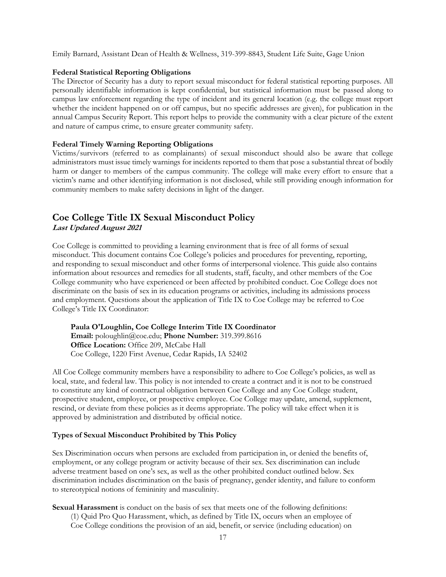Emily Barnard, Assistant Dean of Health & Wellness, 319-399-8843, Student Life Suite, Gage Union

### **Federal Statistical Reporting Obligations**

 The Director of Security has a duty to report sexual misconduct for federal statistical reporting purposes. All personally identifiable information is kept confidential, but statistical information must be passed along to campus law enforcement regarding the type of incident and its general location (e.g. the college must report whether the incident happened on or off campus, but no specific addresses are given), for publication in the annual Campus Security Report. This report helps to provide the community with a clear picture of the extent and nature of campus crime, to ensure greater community safety.

### **Federal Timely Warning Reporting Obligations**

 Victims/survivors (referred to as complainants) of sexual misconduct should also be aware that college victim's name and other identifying information is not disclosed, while still providing enough information for administrators must issue timely warnings for incidents reported to them that pose a substantial threat of bodily harm or danger to members of the campus community. The college will make every effort to ensure that a community members to make safety decisions in light of the danger.

## **Coe College Title IX Sexual Misconduct Policy Last Updated August 2021**

Coe College is committed to providing a learning environment that is free of all forms of sexual misconduct. This document contains Coe College's policies and procedures for preventing, reporting, and responding to sexual misconduct and other forms of interpersonal violence. This guide also contains information about resources and remedies for all students, staff, faculty, and other members of the Coe College community who have experienced or been affected by prohibited conduct. Coe College does not discriminate on the basis of sex in its education programs or activities, including its admissions process and employment. Questions about the application of Title IX to Coe College may be referred to Coe College's Title IX Coordinator:

**Paula O'Loughlin, Coe College Interim Title IX Coordinator Email:** [poloughlin@coe.edu;](mailto:poloughlin@coe.edu) **Phone Number:** 319.399.8616 **Office Location:** Office 209, McCabe Hall Coe College, 1220 First Avenue, Cedar Rapids, IA 52402

All Coe College community members have a responsibility to adhere to Coe College's policies, as well as local, state, and federal law. This policy is not intended to create a contract and it is not to be construed to constitute any kind of contractual obligation between Coe College and any Coe College student, prospective student, employee, or prospective employee. Coe College may update, amend, supplement, rescind, or deviate from these policies as it deems appropriate. The policy will take effect when it is approved by administration and distributed by official notice.

### **Types of Sexual Misconduct Prohibited by This Policy**

Sex Discrimination occurs when persons are excluded from participation in, or denied the benefits of, employment, or any college program or activity because of their sex. Sex discrimination can include adverse treatment based on one's sex, as well as the other prohibited conduct outlined below. Sex discrimination includes discrimination on the basis of pregnancy, gender identity, and failure to conform to stereotypical notions of femininity and masculinity.

**Sexual Harassment** is conduct on the basis of sex that meets one of the following definitions: (1) Quid Pro Quo Harassment, which, as defined by Title IX, occurs when an employee of Coe College conditions the provision of an aid, benefit, or service (including education) on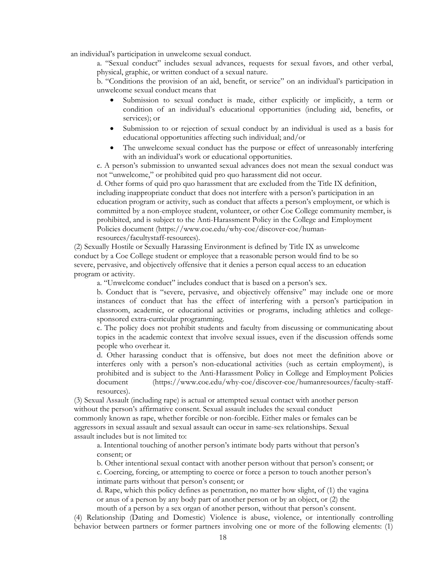an individual's participation in unwelcome sexual conduct.

a. "Sexual conduct" includes sexual advances, requests for sexual favors, and other verbal, physical, graphic, or written conduct of a sexual nature.

b. "Conditions the provision of an aid, benefit, or service" on an individual's participation in unwelcome sexual conduct means that

- Submission to sexual conduct is made, either explicitly or implicitly, a term or condition of an individual's educational opportunities (including aid, benefits, or services); or
- Submission to or rejection of sexual conduct by an individual is used as a basis for educational opportunities affecting such individual; and/or
- The unwelcome sexual conduct has the purpose or effect of unreasonably interfering with an individual's work or educational opportunities.

c. A person's submission to unwanted sexual advances does not mean the sexual conduct was not "unwelcome," or prohibited quid pro quo harassment did not occur.

d. Other forms of quid pro quo harassment that are excluded from the Title IX definition, including inappropriate conduct that does not interfere with a person's participation in an education program or activity, such as conduct that affects a person's employment, or which is committed by a non-employee student, volunteer, or other Coe College community member, is prohibited, and is subject to the Anti-Harassment Policy in the College and Employment Policies document [\(https://www.coe.edu/why-coe/discover-coe/human](https://www.coe.edu/why-coe/discover-coe/human)resources/facultystaff-resources).

 conduct by a Coe College student or employee that a reasonable person would find to be so (2) Sexually Hostile or Sexually Harassing Environment is defined by Title IX as unwelcome severe, pervasive, and objectively offensive that it denies a person equal access to an education program or activity.

a. "Unwelcome conduct" includes conduct that is based on a person's sex.

 instances of conduct that has the effect of interfering with a person's participation in b. Conduct that is "severe, pervasive, and objectively offensive" may include one or more classroom, academic, or educational activities or programs, including athletics and collegesponsored extra-curricular programming.

 topics in the academic context that involve sexual issues, even if the discussion offends some c. The policy does not prohibit students and faculty from discussing or communicating about people who overhear it.

 d. Other harassing conduct that is offensive, but does not meet the definition above or interferes only with a person's non-educational activities (such as certain employment), is prohibited and is subject to the Anti-Harassment Policy in College and Employment Policies document (<https://www.coe.edu/why-coe/discover-coe/humanresources/faculty-staff>resources).

(3) Sexual Assault (including rape) is actual or attempted sexual contact with another person without the person's affirmative consent. Sexual assault includes the sexual conduct commonly known as rape, whether forcible or non-forcible. Either males or females can be aggressors in sexual assault and sexual assault can occur in same-sex relationships. Sexual assault includes but is not limited to:

a. Intentional touching of another person's intimate body parts without that person's consent; or

b. Other intentional sexual contact with another person without that person's consent; or c. Coercing, forcing, or attempting to coerce or force a person to touch another person's intimate parts without that person's consent; or

 or anus of a person by any body part of another person or by an object, or (2) the d. Rape, which this policy defines as penetration, no matter how slight, of (1) the vagina mouth of a person by a sex organ of another person, without that person's consent.

 behavior between partners or former partners involving one or more of the following elements: (1) (4) Relationship (Dating and Domestic) Violence is abuse, violence, or intentionally controlling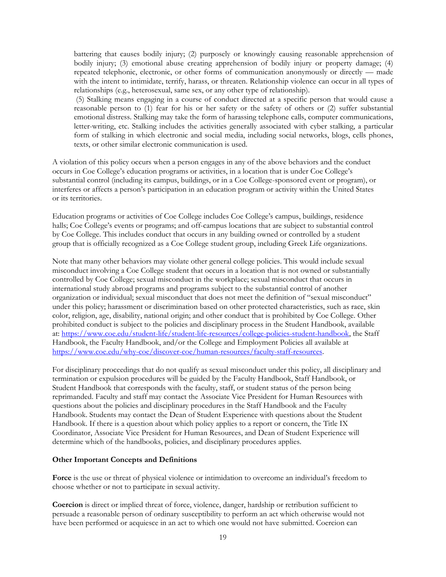bodily injury; (3) emotional abuse creating apprehension of bodily injury or property damage; (4) with the intent to intimidate, terrify, harass, or threaten. Relationship violence can occur in all types of battering that causes bodily injury; (2) purposely or knowingly causing reasonable apprehension of repeated telephonic, electronic, or other forms of communication anonymously or directly — made relationships (e.g., heterosexual, same sex, or any other type of relationship).

 letter-writing, etc. Stalking includes the activities generally associated with cyber stalking, a particular (5) Stalking means engaging in a course of conduct directed at a specific person that would cause a reasonable person to (1) fear for his or her safety or the safety of others or (2) suffer substantial emotional distress. Stalking may take the form of harassing telephone calls, computer communications, form of stalking in which electronic and social media, including social networks, blogs, cells phones, texts, or other similar electronic communication is used.

A violation of this policy occurs when a person engages in any of the above behaviors and the conduct occurs in Coe College's education programs or activities, in a location that is under Coe College's substantial control (including its campus, buildings, or in a Coe College-sponsored event or program), or interferes or affects a person's participation in an education program or activity within the United States or its territories.

Education programs or activities of Coe College includes Coe College's campus, buildings, residence halls; Coe College's events or programs; and off-campus locations that are subject to substantial control by Coe College. This includes conduct that occurs in any building owned or controlled by a student group that is officially recognized as a Coe College student group, including Greek Life organizations.

Note that many other behaviors may violate other general college policies. This would include sexual misconduct involving a Coe College student that occurs in a location that is not owned or substantially controlled by Coe College; sexual misconduct in the workplace; sexual misconduct that occurs in international study abroad programs and programs subject to the substantial control of another organization or individual; sexual misconduct that does not meet the definition of "sexual misconduct" under this policy; harassment or discrimination based on other protected characteristics, such as race, skin color, religion, age, disability, national origin; and other conduct that is prohibited by Coe College. Other prohibited conduct is subject to the policies and disciplinary process in the Student Handbook, available at: [https://www.coe.edu/student-life/student-life-resources/college-policies-student-handbook,](https://www.coe.edu/student-life/student-life-resources/college-policies-student-handbook) the Staff Handbook, the Faculty Handbook, and/or the College and Employment Policies all available at [https://www.coe.edu/why-coe/discover-coe/human-resources/faculty-staff-resources.](https://www.coe.edu/why-coe/discover-coe/human-resources/faculty-staff-resources)

For disciplinary proceedings that do not qualify as sexual misconduct under this policy, all disciplinary and termination or expulsion procedures will be guided by the Faculty Handbook, Staff Handbook, or Student Handbook that corresponds with the faculty, staff, or student status of the person being reprimanded. Faculty and staff may contact the Associate Vice President for Human Resources with questions about the policies and disciplinary procedures in the Staff Handbook and the Faculty Handbook. Students may contact the Dean of Student Experience with questions about the Student Handbook. If there is a question about which policy applies to a report or concern, the Title IX Coordinator, Associate Vice President for Human Resources, and Dean of Student Experience will determine which of the handbooks, policies, and disciplinary procedures applies.

### **Other Important Concepts and Definitions**

 choose whether or not to participate in sexual activity. **Force** is the use or threat of physical violence or intimidation to overcome an individual's freedom to

**Coercion** is direct or implied threat of force, violence, danger, hardship or retribution sufficient to persuade a reasonable person of ordinary susceptibility to perform an act which otherwise would not have been performed or acquiesce in an act to which one would not have submitted. Coercion can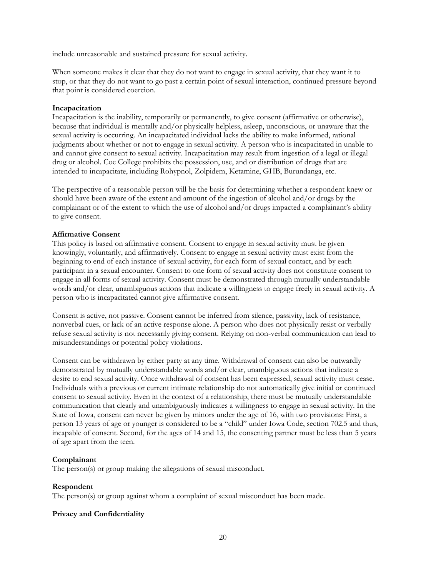include unreasonable and sustained pressure for sexual activity.

 When someone makes it clear that they do not want to engage in sexual activity, that they want it to stop, or that they do not want to go past a certain point of sexual interaction, continued pressure beyond that point is considered coercion.

### **Incapacitation**

Incapacitation is the inability, temporarily or permanently, to give consent (affirmative or otherwise), because that individual is mentally and/or physically helpless, asleep, unconscious, or unaware that the sexual activity is occurring. An incapacitated individual lacks the ability to make informed, rational judgments about whether or not to engage in sexual activity. A person who is incapacitated in unable to and cannot give consent to sexual activity. Incapacitation may result from ingestion of a legal or illegal drug or alcohol. Coe College prohibits the possession, use, and or distribution of drugs that are intended to incapacitate, including Rohypnol, Zolpidem, Ketamine, GHB, Burundanga, etc.

The perspective of a reasonable person will be the basis for determining whether a respondent knew or should have been aware of the extent and amount of the ingestion of alcohol and/or drugs by the complainant or of the extent to which the use of alcohol and/or drugs impacted a complainant's ability to give consent.

### **Affirmative Consent**

 participant in a sexual encounter. Consent to one form of sexual activity does not constitute consent to This policy is based on affirmative consent. Consent to engage in sexual activity must be given knowingly, voluntarily, and affirmatively. Consent to engage in sexual activity must exist from the beginning to end of each instance of sexual activity, for each form of sexual contact, and by each engage in all forms of sexual activity. Consent must be demonstrated through mutually understandable words and/or clear, unambiguous actions that indicate a willingness to engage freely in sexual activity. A person who is incapacitated cannot give affirmative consent.

Consent is active, not passive. Consent cannot be inferred from silence, passivity, lack of resistance, nonverbal cues, or lack of an active response alone. A person who does not physically resist or verbally refuse sexual activity is not necessarily giving consent. Relying on non-verbal communication can lead to misunderstandings or potential policy violations.

Consent can be withdrawn by either party at any time. Withdrawal of consent can also be outwardly demonstrated by mutually understandable words and/or clear, unambiguous actions that indicate a desire to end sexual activity. Once withdrawal of consent has been expressed, sexual activity must cease. Individuals with a previous or current intimate relationship do not automatically give initial or continued consent to sexual activity. Even in the context of a relationship, there must be mutually understandable communication that clearly and unambiguously indicates a willingness to engage in sexual activity. In the State of Iowa, consent can never be given by minors under the age of 16, with two provisions: First, a person 13 years of age or younger is considered to be a "child" under Iowa Code, section 702.5 and thus, incapable of consent. Second, for the ages of 14 and 15, the consenting partner must be less than 5 years of age apart from the teen.

### **Complainant**

The person(s) or group making the allegations of sexual misconduct.

### **Respondent**

The person(s) or group against whom a complaint of sexual misconduct has been made.

### **Privacy and Confidentiality**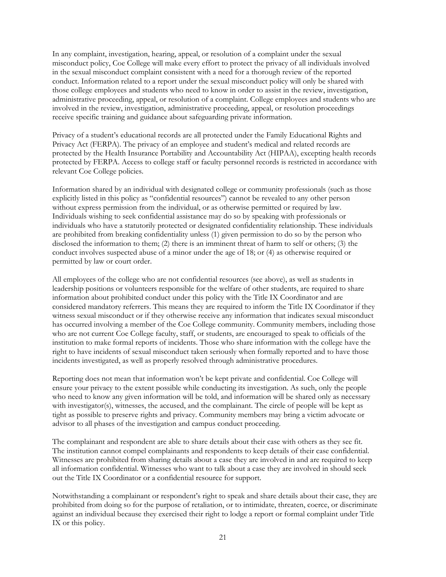In any complaint, investigation, hearing, appeal, or resolution of a complaint under the sexual misconduct policy, Coe College will make every effort to protect the privacy of all individuals involved in the sexual misconduct complaint consistent with a need for a thorough review of the reported conduct. Information related to a report under the sexual misconduct policy will only be shared with those college employees and students who need to know in order to assist in the review, investigation, administrative proceeding, appeal, or resolution of a complaint. College employees and students who are involved in the review, investigation, administrative proceeding, appeal, or resolution proceedings receive specific training and guidance about safeguarding private information.

Privacy of a student's educational records are all protected under the Family Educational Rights and Privacy Act (FERPA). The privacy of an employee and student's medical and related records are protected by the Health Insurance Portability and Accountability Act (HIPAA), excepting health records protected by FERPA. Access to college staff or faculty personnel records is restricted in accordance with relevant Coe College policies.

Information shared by an individual with designated college or community professionals (such as those explicitly listed in this policy as "confidential resources") cannot be revealed to any other person without express permission from the individual, or as otherwise permitted or required by law. Individuals wishing to seek confidential assistance may do so by speaking with professionals or individuals who have a statutorily protected or designated confidentiality relationship. These individuals are prohibited from breaking confidentiality unless (1) given permission to do so by the person who disclosed the information to them; (2) there is an imminent threat of harm to self or others; (3) the conduct involves suspected abuse of a minor under the age of 18; or (4) as otherwise required or permitted by law or court order.

All employees of the college who are not confidential resources (see above), as well as students in leadership positions or volunteers responsible for the welfare of other students, are required to share information about prohibited conduct under this policy with the Title IX Coordinator and are considered mandatory referrers. This means they are required to inform the Title IX Coordinator if they witness sexual misconduct or if they otherwise receive any information that indicates sexual misconduct has occurred involving a member of the Coe College community. Community members, including those who are not current Coe College faculty, staff, or students, are encouraged to speak to officials of the institution to make formal reports of incidents. Those who share information with the college have the right to have incidents of sexual misconduct taken seriously when formally reported and to have those incidents investigated, as well as properly resolved through administrative procedures.

Reporting does not mean that information won't be kept private and confidential. Coe College will ensure your privacy to the extent possible while conducting its investigation. As such, only the people who need to know any given information will be told, and information will be shared only as necessary with investigator(s), witnesses, the accused, and the complainant. The circle of people will be kept as tight as possible to preserve rights and privacy. Community members may bring a victim advocate or advisor to all phases of the investigation and campus conduct proceeding.

The complainant and respondent are able to share details about their case with others as they see fit. The institution cannot compel complainants and respondents to keep details of their case confidential. Witnesses are prohibited from sharing details about a case they are involved in and are required to keep all information confidential. Witnesses who want to talk about a case they are involved in should seek out the Title IX Coordinator or a confidential resource for support.

Notwithstanding a complainant or respondent's right to speak and share details about their case, they are prohibited from doing so for the purpose of retaliation, or to intimidate, threaten, coerce, or discriminate against an individual because they exercised their right to lodge a report or formal complaint under Title IX or this policy.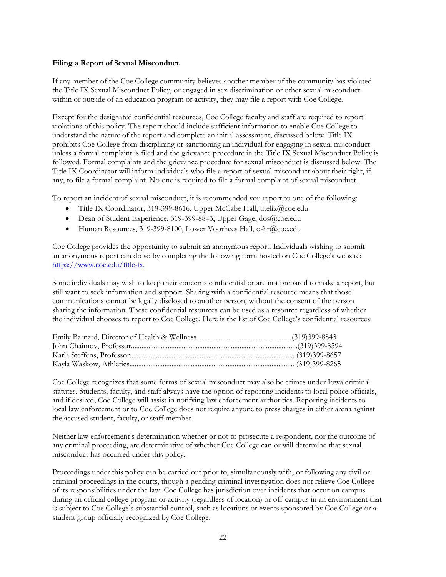### **Filing a Report of Sexual Misconduct.**

If any member of the Coe College community believes another member of the community has violated the Title IX Sexual Misconduct Policy, or engaged in sex discrimination or other sexual misconduct within or outside of an education program or activity, they may file a report with Coe College.

Except for the designated confidential resources, Coe College faculty and staff are required to report violations of this policy. The report should include sufficient information to enable Coe College to understand the nature of the report and complete an initial assessment, discussed below. Title IX prohibits Coe College from disciplining or sanctioning an individual for engaging in sexual misconduct unless a formal complaint is filed and the grievance procedure in the Title IX Sexual Misconduct Policy is followed. Formal complaints and the grievance procedure for sexual misconduct is discussed below. The Title IX Coordinator will inform individuals who file a report of sexual misconduct about their right, if any, to file a formal complaint. No one is required to file a formal complaint of sexual misconduct.

To report an incident of sexual misconduct, it is recommended you report to one of the following:

- Title IX Coordinator, 319-399-8616, Upper McCabe Hall, [titelix@coe.edu](mailto:titelix@coe.edu)
- Dean of Student Experience, 319-399-8843, Upper Gage, [dos@coe.edu](mailto:dos@coe.edu)
- Human Resources, 319-399-8100, Lower Voorhees Hall, [o-hr@coe.edu](mailto:o-hr@coe.edu)

Coe College provides the opportunity to submit an anonymous report. Individuals wishing to submit an anonymous report can do so by completing the following form hosted on Coe College's website: [https://www.coe.edu/title-ix.](https://www.coe.edu/title-ix) 

Some individuals may wish to keep their concerns confidential or are not prepared to make a report, but still want to seek information and support. Sharing with a confidential resource means that those communications cannot be legally disclosed to another person, without the consent of the person sharing the information. These confidential resources can be used as a resource regardless of whether the individual chooses to report to Coe College. Here is the list of Coe College's confidential resources:

 Coe College recognizes that some forms of sexual misconduct may also be crimes under Iowa criminal statutes. Students, faculty, and staff always have the option of reporting incidents to local police officials, and if desired, Coe College will assist in notifying law enforcement authorities. Reporting incidents to local law enforcement or to Coe College does not require anyone to press charges in either arena against the accused student, faculty, or staff member.

Neither law enforcement's determination whether or not to prosecute a respondent, nor the outcome of any criminal proceeding, are determinative of whether Coe College can or will determine that sexual misconduct has occurred under this policy.

Proceedings under this policy can be carried out prior to, simultaneously with, or following any civil or criminal proceedings in the courts, though a pending criminal investigation does not relieve Coe College of its responsibilities under the law. Coe College has jurisdiction over incidents that occur on campus during an official college program or activity (regardless of location) or off-campus in an environment that is subject to Coe College's substantial control, such as locations or events sponsored by Coe College or a student group officially recognized by Coe College.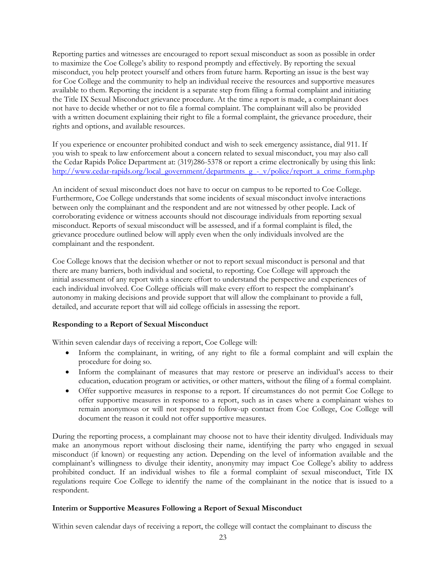Reporting parties and witnesses are encouraged to report sexual misconduct as soon as possible in order to maximize the Coe College's ability to respond promptly and effectively. By reporting the sexual misconduct, you help protect yourself and others from future harm. Reporting an issue is the best way for Coe College and the community to help an individual receive the resources and supportive measures available to them. Reporting the incident is a separate step from filing a formal complaint and initiating the Title IX Sexual Misconduct grievance procedure. At the time a report is made, a complainant does not have to decide whether or not to file a formal complaint. The complainant will also be provided with a written document explaining their right to file a formal complaint, the grievance procedure, their rights and options, and available resources.

If you experience or encounter prohibited conduct and wish to seek emergency assistance, dial 911. If you wish to speak to law enforcement about a concern related to sexual misconduct, you may also call the Cedar Rapids Police Department at: (319)286-5378 or report a crime electronically by using this link: http://www.cedar-rapids.org/local\_government/departments\_g\_-\_v/police/report\_a\_crime\_form.php

An incident of sexual misconduct does not have to occur on campus to be reported to Coe College. Furthermore, Coe College understands that some incidents of sexual misconduct involve interactions between only the complainant and the respondent and are not witnessed by other people. Lack of corroborating evidence or witness accounts should not discourage individuals from reporting sexual misconduct. Reports of sexual misconduct will be assessed, and if a formal complaint is filed, the grievance procedure outlined below will apply even when the only individuals involved are the complainant and the respondent.

Coe College knows that the decision whether or not to report sexual misconduct is personal and that there are many barriers, both individual and societal, to reporting. Coe College will approach the initial assessment of any report with a sincere effort to understand the perspective and experiences of each individual involved. Coe College officials will make every effort to respect the complainant's autonomy in making decisions and provide support that will allow the complainant to provide a full, detailed, and accurate report that will aid college officials in assessing the report.

### **Responding to a Report of Sexual Misconduct**

Within seven calendar days of receiving a report, Coe College will:

- Inform the complainant, in writing, of any right to file a formal complaint and will explain the procedure for doing so.
- Inform the complainant of measures that may restore or preserve an individual's access to their education, education program or activities, or other matters, without the filing of a formal complaint.
- Offer supportive measures in response to a report. If circumstances do not permit Coe College to offer supportive measures in response to a report, such as in cases where a complainant wishes to remain anonymous or will not respond to follow-up contact from Coe College, Coe College will document the reason it could not offer supportive measures.

 During the reporting process, a complainant may choose not to have their identity divulged. Individuals may complainant's willingness to divulge their identity, anonymity may impact Coe College's ability to address regulations require Coe College to identify the name of the complainant in the notice that is issued to a make an anonymous report without disclosing their name, identifying the party who engaged in sexual misconduct (if known) or requesting any action. Depending on the level of information available and the prohibited conduct. If an individual wishes to file a formal complaint of sexual misconduct, Title IX respondent.

### **Interim or Supportive Measures Following a Report of Sexual Misconduct**

Within seven calendar days of receiving a report, the college will contact the complainant to discuss the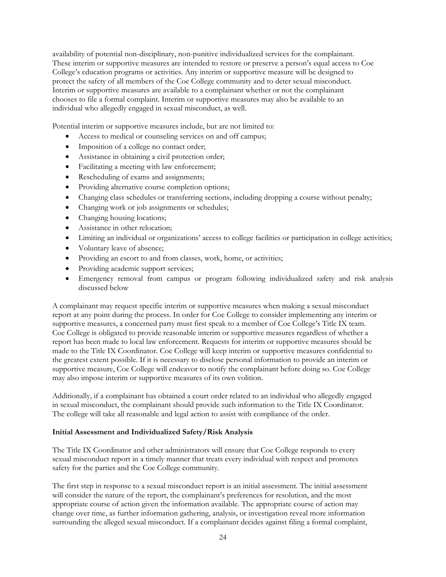availability of potential non-disciplinary, non-punitive individualized services for the complainant. These interim or supportive measures are intended to restore or preserve a person's equal access to Coe College's education programs or activities. Any interim or supportive measure will be designed to protect the safety of all members of the Coe College community and to deter sexual misconduct. Interim or supportive measures are available to a complainant whether or not the complainant chooses to file a formal complaint. Interim or supportive measures may also be available to an individual who allegedly engaged in sexual misconduct, as well.

Potential interim or supportive measures include, but are not limited to:

- Access to medical or counseling services on and off campus;
- Imposition of a college no contact order;
- Assistance in obtaining a civil protection order;
- Facilitating a meeting with law enforcement;
- Rescheduling of exams and assignments;
- Providing alternative course completion options;
- Changing class schedules or transferring sections, including dropping a course without penalty;
- Changing work or job assignments or schedules;
- Changing housing locations;
- Assistance in other relocation;
- Limiting an individual or organizations' access to college facilities or participation in college activities;
- Voluntary leave of absence;
- Providing an escort to and from classes, work, home, or activities;
- Providing academic support services;
- Emergency removal from campus or program following individualized safety and risk analysis discussed below

 the greatest extent possible. If it is necessary to disclose personal information to provide an interim or A complainant may request specific interim or supportive measures when making a sexual misconduct report at any point during the process. In order for Coe College to consider implementing any interim or supportive measures, a concerned party must first speak to a member of Coe College's Title IX team. Coe College is obligated to provide reasonable interim or supportive measures regardless of whether a report has been made to local law enforcement. Requests for interim or supportive measures should be made to the Title IX Coordinator. Coe College will keep interim or supportive measures confidential to supportive measure, Coe College will endeavor to notify the complainant before doing so. Coe College may also impose interim or supportive measures of its own volition.

Additionally, if a complainant has obtained a court order related to an individual who allegedly engaged in sexual misconduct, the complainant should provide such information to the Title IX Coordinator. The college will take all reasonable and legal action to assist with compliance of the order.

### **Initial Assessment and Individualized Safety/Risk Analysis**

The Title IX Coordinator and other administrators will ensure that Coe College responds to every sexual misconduct report in a timely manner that treats every individual with respect and promotes safety for the parties and the Coe College community.

The first step in response to a sexual misconduct report is an initial assessment. The initial assessment will consider the nature of the report, the complainant's preferences for resolution, and the most appropriate course of action given the information available. The appropriate course of action may change over time, as further information gathering, analysis, or investigation reveal more information surrounding the alleged sexual misconduct. If a complainant decides against filing a formal complaint,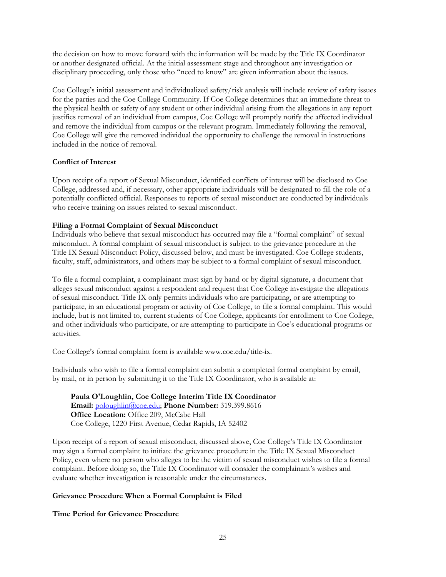or another designated official. At the initial assessment stage and throughout any investigation or the decision on how to move forward with the information will be made by the Title IX Coordinator disciplinary proceeding, only those who "need to know" are given information about the issues.

 Coe College will give the removed individual the opportunity to challenge the removal in instructions Coe College's initial assessment and individualized safety/risk analysis will include review of safety issues for the parties and the Coe College Community. If Coe College determines that an immediate threat to the physical health or safety of any student or other individual arising from the allegations in any report justifies removal of an individual from campus, Coe College will promptly notify the affected individual and remove the individual from campus or the relevant program. Immediately following the removal, included in the notice of removal.

### **Conflict of Interest**

Upon receipt of a report of Sexual Misconduct, identified conflicts of interest will be disclosed to Coe College, addressed and, if necessary, other appropriate individuals will be designated to fill the role of a potentially conflicted official. Responses to reports of sexual misconduct are conducted by individuals who receive training on issues related to sexual misconduct.

### **Filing a Formal Complaint of Sexual Misconduct**

Individuals who believe that sexual misconduct has occurred may file a "formal complaint" of sexual misconduct. A formal complaint of sexual misconduct is subject to the grievance procedure in the Title IX Sexual Misconduct Policy, discussed below, and must be investigated. Coe College students, faculty, staff, administrators, and others may be subject to a formal complaint of sexual misconduct.

To file a formal complaint, a complainant must sign by hand or by digital signature, a document that alleges sexual misconduct against a respondent and request that Coe College investigate the allegations of sexual misconduct. Title IX only permits individuals who are participating, or are attempting to participate, in an educational program or activity of Coe College, to file a formal complaint. This would include, but is not limited to, current students of Coe College, applicants for enrollment to Coe College, and other individuals who participate, or are attempting to participate in Coe's educational programs or activities.

Coe College's formal complaint form is available [www.coe.edu/title](www.coe.edu/title-ix)-ix.

Individuals who wish to file a formal complaint can submit a completed formal complaint by email, by mail, or in person by submitting it to the Title IX Coordinator, who is available at:

**Paula O'Loughlin, Coe College Interim Title IX Coordinator Email:** [poloughlin@coe.edu;](mailto:poloughlin@coe.edu) **Phone Number:** 319.399.8616 **Office Location:** Office 209, McCabe Hall Coe College, 1220 First Avenue, Cedar Rapids, IA 52402

Upon receipt of a report of sexual misconduct, discussed above, Coe College's Title IX Coordinator may sign a formal complaint to initiate the grievance procedure in the Title IX Sexual Misconduct Policy, even where no person who alleges to be the victim of sexual misconduct wishes to file a formal complaint. Before doing so, the Title IX Coordinator will consider the complainant's wishes and evaluate whether investigation is reasonable under the circumstances.

### **Grievance Procedure When a Formal Complaint is Filed**

### **Time Period for Grievance Procedure**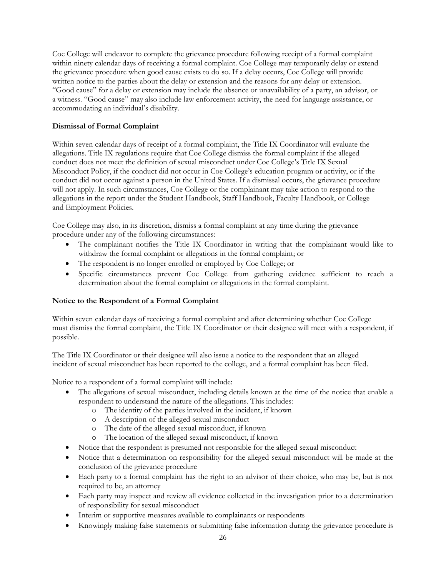Coe College will endeavor to complete the grievance procedure following receipt of a formal complaint within ninety calendar days of receiving a formal complaint. Coe College may temporarily delay or extend the grievance procedure when good cause exists to do so. If a delay occurs, Coe College will provide written notice to the parties about the delay or extension and the reasons for any delay or extension. "Good cause" for a delay or extension may include the absence or unavailability of a party, an advisor, or a witness. "Good cause" may also include law enforcement activity, the need for language assistance, or accommodating an individual's disability.

### **Dismissal of Formal Complaint**

 conduct does not meet the definition of sexual misconduct under Coe College's Title IX Sexual Within seven calendar days of receipt of a formal complaint, the Title IX Coordinator will evaluate the allegations. Title IX regulations require that Coe College dismiss the formal complaint if the alleged Misconduct Policy, if the conduct did not occur in Coe College's education program or activity, or if the conduct did not occur against a person in the United States. If a dismissal occurs, the grievance procedure will not apply. In such circumstances, Coe College or the complainant may take action to respond to the allegations in the report under the Student Handbook, Staff Handbook, Faculty Handbook, or College and Employment Policies.

 Coe College may also, in its discretion, dismiss a formal complaint at any time during the grievance procedure under any of the following circumstances:

- The complainant notifies the Title IX Coordinator in writing that the complainant would like to withdraw the formal complaint or allegations in the formal complaint; or
- The respondent is no longer enrolled or employed by Coe College; or
- Specific circumstances prevent Coe College from gathering evidence sufficient to reach a determination about the formal complaint or allegations in the formal complaint.

### **Notice to the Respondent of a Formal Complaint**

Within seven calendar days of receiving a formal complaint and after determining whether Coe College must dismiss the formal complaint, the Title IX Coordinator or their designee will meet with a respondent, if possible.

The Title IX Coordinator or their designee will also issue a notice to the respondent that an alleged incident of sexual misconduct has been reported to the college, and a formal complaint has been filed.

Notice to a respondent of a formal complaint will include:

- The allegations of sexual misconduct, including details known at the time of the notice that enable a respondent to understand the nature of the allegations. This includes:
	- o The identity of the parties involved in the incident, if known
	- o A description of the alleged sexual misconduct
	- o The date of the alleged sexual misconduct, if known
	- o The location of the alleged sexual misconduct, if known
- Notice that the respondent is presumed not responsible for the alleged sexual misconduct
- Notice that a determination on responsibility for the alleged sexual misconduct will be made at the conclusion of the grievance procedure
- Each party to a formal complaint has the right to an advisor of their choice, who may be, but is not required to be, an attorney
- Each party may inspect and review all evidence collected in the investigation prior to a determination of responsibility for sexual misconduct
- Interim or supportive measures available to complainants or respondents
- Knowingly making false statements or submitting false information during the grievance procedure is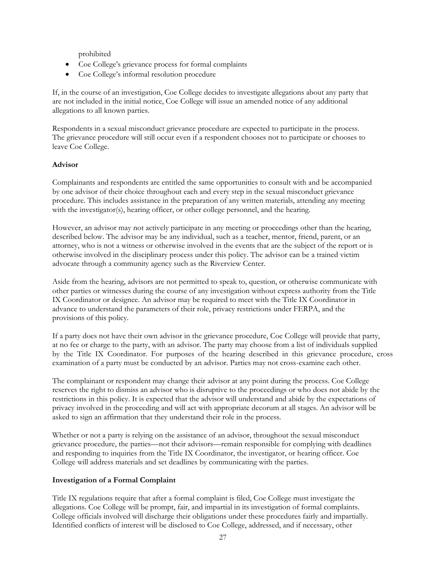prohibited

- Coe College's grievance process for formal complaints
- Coe College's informal resolution procedure

If, in the course of an investigation, Coe College decides to investigate allegations about any party that are not included in the initial notice, Coe College will issue an amended notice of any additional allegations to all known parties.

Respondents in a sexual misconduct grievance procedure are expected to participate in the process. The grievance procedure will still occur even if a respondent chooses not to participate or chooses to leave Coe College.

### **Advisor**

Complainants and respondents are entitled the same opportunities to consult with and be accompanied by one advisor of their choice throughout each and every step in the sexual misconduct grievance procedure. This includes assistance in the preparation of any written materials, attending any meeting with the investigator(s), hearing officer, or other college personnel, and the hearing.

However, an advisor may not actively participate in any meeting or proceedings other than the hearing, described below. The advisor may be any individual, such as a teacher, mentor, friend, parent, or an attorney, who is not a witness or otherwise involved in the events that are the subject of the report or is otherwise involved in the disciplinary process under this policy. The advisor can be a trained victim advocate through a community agency such as the Riverview Center.

Aside from the hearing, advisors are not permitted to speak to, question, or otherwise communicate with other parties or witnesses during the course of any investigation without express authority from the Title IX Coordinator or designee. An advisor may be required to meet with the Title IX Coordinator in advance to understand the parameters of their role, privacy restrictions under FERPA, and the provisions of this policy.

 If a party does not have their own advisor in the grievance procedure, Coe College will provide that party, at no fee or charge to the party, with an advisor. The party may choose from a list of individuals supplied by the Title IX Coordinator. For purposes of the hearing described in this grievance procedure, cross examination of a party must be conducted by an advisor. Parties may not cross-examine each other.

 The complainant or respondent may change their advisor at any point during the process. Coe College reserves the right to dismiss an advisor who is disruptive to the proceedings or who does not abide by the restrictions in this policy. It is expected that the advisor will understand and abide by the expectations of privacy involved in the proceeding and will act with appropriate decorum at all stages. An advisor will be asked to sign an affirmation that they understand their role in the process.

Whether or not a party is relying on the assistance of an advisor, throughout the sexual misconduct grievance procedure, the parties—not their advisors—remain responsible for complying with deadlines and responding to inquiries from the Title IX Coordinator, the investigator, or hearing officer. Coe College will address materials and set deadlines by communicating with the parties.

### **Investigation of a Formal Complaint**

Title IX regulations require that after a formal complaint is filed, Coe College must investigate the allegations. Coe College will be prompt, fair, and impartial in its investigation of formal complaints. College officials involved will discharge their obligations under these procedures fairly and impartially. Identified conflicts of interest will be disclosed to Coe College, addressed, and if necessary, other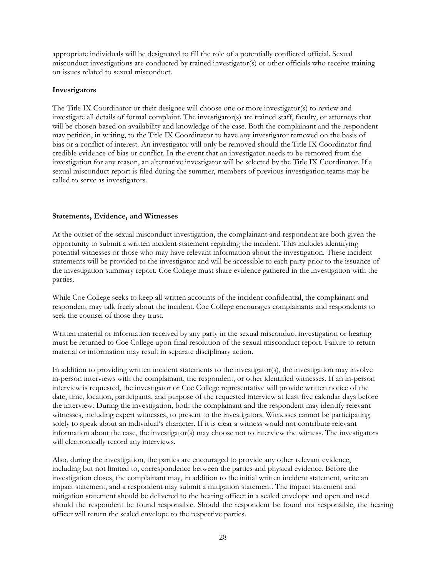appropriate individuals will be designated to fill the role of a potentially conflicted official. Sexual misconduct investigations are conducted by trained investigator(s) or other officials who receive training on issues related to sexual misconduct.

### **Investigators**

The Title IX Coordinator or their designee will choose one or more investigator(s) to review and investigate all details of formal complaint. The investigator(s) are trained staff, faculty, or attorneys that will be chosen based on availability and knowledge of the case. Both the complainant and the respondent may petition, in writing, to the Title IX Coordinator to have any investigator removed on the basis of bias or a conflict of interest. An investigator will only be removed should the Title IX Coordinator find credible evidence of bias or conflict. In the event that an investigator needs to be removed from the investigation for any reason, an alternative investigator will be selected by the Title IX Coordinator. If a sexual misconduct report is filed during the summer, members of previous investigation teams may be called to serve as investigators.

### **Statements, Evidence, and Witnesses**

At the outset of the sexual misconduct investigation, the complainant and respondent are both given the opportunity to submit a written incident statement regarding the incident. This includes identifying potential witnesses or those who may have relevant information about the investigation. These incident statements will be provided to the investigator and will be accessible to each party prior to the issuance of the investigation summary report. Coe College must share evidence gathered in the investigation with the parties.

While Coe College seeks to keep all written accounts of the incident confidential, the complainant and respondent may talk freely about the incident. Coe College encourages complainants and respondents to seek the counsel of those they trust.

Written material or information received by any party in the sexual misconduct investigation or hearing must be returned to Coe College upon final resolution of the sexual misconduct report. Failure to return material or information may result in separate disciplinary action.

 witnesses, including expert witnesses, to present to the investigators. Witnesses cannot be participating information about the case, the investigator(s) may choose not to interview the witness. The investigators In addition to providing written incident statements to the investigator(s), the investigation may involve in-person interviews with the complainant, the respondent, or other identified witnesses. If an in-person interview is requested, the investigator or Coe College representative will provide written notice of the date, time, location, participants, and purpose of the requested interview at least five calendar days before the interview. During the investigation, both the complainant and the respondent may identify relevant solely to speak about an individual's character. If it is clear a witness would not contribute relevant will electronically record any interviews.

 should the respondent be found responsible. Should the respondent be found not responsible, the hearing Also, during the investigation, the parties are encouraged to provide any other relevant evidence, including but not limited to, correspondence between the parties and physical evidence. Before the investigation closes, the complainant may, in addition to the initial written incident statement, write an impact statement, and a respondent may submit a mitigation statement. The impact statement and mitigation statement should be delivered to the hearing officer in a sealed envelope and open and used officer will return the sealed envelope to the respective parties.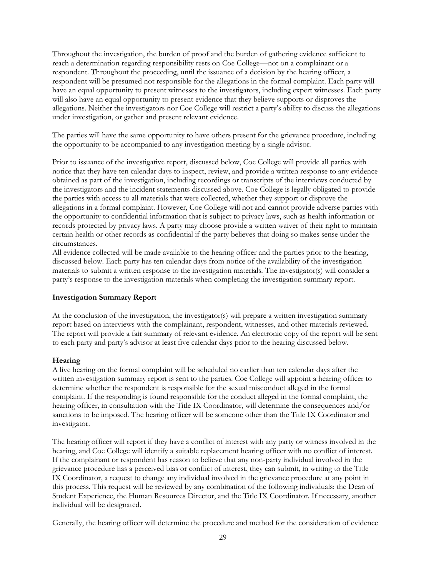allegations. Neither the investigators nor Coe College will restrict a party's ability to discuss the allegations Throughout the investigation, the burden of proof and the burden of gathering evidence sufficient to reach a determination regarding responsibility rests on Coe College—not on a complainant or a respondent. Throughout the proceeding, until the issuance of a decision by the hearing officer, a respondent will be presumed not responsible for the allegations in the formal complaint. Each party will have an equal opportunity to present witnesses to the investigators, including expert witnesses. Each party will also have an equal opportunity to present evidence that they believe supports or disproves the under investigation, or gather and present relevant evidence.

The parties will have the same opportunity to have others present for the grievance procedure, including the opportunity to be accompanied to any investigation meeting by a single advisor.

 records protected by privacy laws. A party may choose provide a written waiver of their right to maintain Prior to issuance of the investigative report, discussed below, Coe College will provide all parties with notice that they have ten calendar days to inspect, review, and provide a written response to any evidence obtained as part of the investigation, including recordings or transcripts of the interviews conducted by the investigators and the incident statements discussed above. Coe College is legally obligated to provide the parties with access to all materials that were collected, whether they support or disprove the allegations in a formal complaint. However, Coe College will not and cannot provide adverse parties with the opportunity to confidential information that is subject to privacy laws, such as health information or certain health or other records as confidential if the party believes that doing so makes sense under the circumstances.

All evidence collected will be made available to the hearing officer and the parties prior to the hearing, discussed below. Each party has ten calendar days from notice of the availability of the investigation materials to submit a written response to the investigation materials. The investigator(s) will consider a party's response to the investigation materials when completing the investigation summary report.

### **Investigation Summary Report**

At the conclusion of the investigation, the investigator(s) will prepare a written investigation summary report based on interviews with the complainant, respondent, witnesses, and other materials reviewed. The report will provide a fair summary of relevant evidence. An electronic copy of the report will be sent to each party and party's advisor at least five calendar days prior to the hearing discussed below.

### **Hearing**

A live hearing on the formal complaint will be scheduled no earlier than ten calendar days after the written investigation summary report is sent to the parties. Coe College will appoint a hearing officer to determine whether the respondent is responsible for the sexual misconduct alleged in the formal complaint. If the responding is found responsible for the conduct alleged in the formal complaint, the hearing officer, in consultation with the Title IX Coordinator, will determine the consequences and/or sanctions to be imposed. The hearing officer will be someone other than the Title IX Coordinator and investigator.

 hearing, and Coe College will identify a suitable replacement hearing officer with no conflict of interest. Student Experience, the Human Resources Director, and the Title IX Coordinator. If necessary, another The hearing officer will report if they have a conflict of interest with any party or witness involved in the If the complainant or respondent has reason to believe that any non-party individual involved in the grievance procedure has a perceived bias or conflict of interest, they can submit, in writing to the Title IX Coordinator, a request to change any individual involved in the grievance procedure at any point in this process. This request will be reviewed by any combination of the following individuals: the Dean of individual will be designated.

Generally, the hearing officer will determine the procedure and method for the consideration of evidence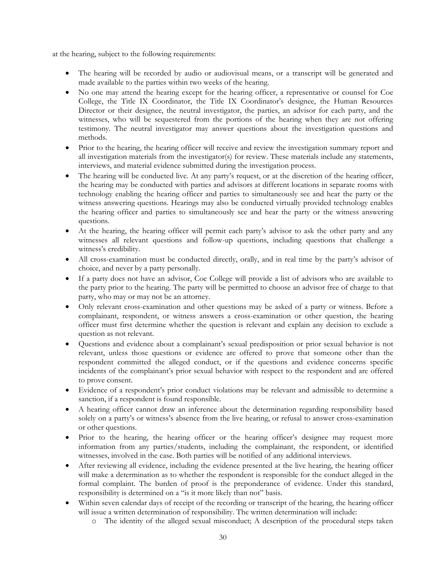at the hearing, subject to the following requirements:

- The hearing will be recorded by audio or audiovisual means, or a transcript will be generated and made available to the parties within two weeks of the hearing.
- No one may attend the hearing except for the hearing officer, a representative or counsel for Coe witnesses, who will be sequestered from the portions of the hearing when they are not offering testimony. The neutral investigator may answer questions about the investigation questions and College, the Title IX Coordinator, the Title IX Coordinator's designee, the Human Resources Director or their designee, the neutral investigator, the parties, an advisor for each party, and the methods.
- interviews, and material evidence submitted during the investigation process. Prior to the hearing, the hearing officer will receive and review the investigation summary report and all investigation materials from the investigator(s) for review. These materials include any statements,
- the hearing may be conducted with parties and advisors at different locations in separate rooms with technology enabling the hearing officer and parties to simultaneously see and hear the party or the witness answering questions. Hearings may also be conducted virtually provided technology enables The hearing will be conducted live. At any party's request, or at the discretion of the hearing officer, the hearing officer and parties to simultaneously see and hear the party or the witness answering questions.
- witnesses all relevant questions and follow-up questions, including questions that challenge a At the hearing, the hearing officer will permit each party's advisor to ask the other party and any witness's credibility.
- All cross-examination must be conducted directly, orally, and in real time by the party's advisor of choice, and never by a party personally.
- If a party does not have an advisor, Coe College will provide a list of advisors who are available to the party prior to the hearing. The party will be permitted to choose an advisor free of charge to that party, who may or may not be an attorney.
- Only relevant cross-examination and other questions may be asked of a party or witness. Before a officer must first determine whether the question is relevant and explain any decision to exclude a complainant, respondent, or witness answers a cross-examination or other question, the hearing question as not relevant.
- Questions and evidence about a complainant's sexual predisposition or prior sexual behavior is not relevant, unless those questions or evidence are offered to prove that someone other than the respondent committed the alleged conduct, or if the questions and evidence concerns specific incidents of the complainant's prior sexual behavior with respect to the respondent and are offered to prove consent.
- Evidence of a respondent's prior conduct violations may be relevant and admissible to determine a sanction, if a respondent is found responsible.
- A hearing officer cannot draw an inference about the determination regarding responsibility based solely on a party's or witness's absence from the live hearing, or refusal to answer cross-examination or other questions.
- Prior to the hearing, the hearing officer or the hearing officer's designee may request more information from any parties/students, including the complainant, the respondent, or identified witnesses, involved in the case. Both parties will be notified of any additional interviews.
- will make a determination as to whether the respondent is responsible for the conduct alleged in the After reviewing all evidence, including the evidence presented at the live hearing, the hearing officer formal complaint. The burden of proof is the preponderance of evidence. Under this standard, responsibility is determined on a "is it more likely than not" basis.
- Within seven calendar days of receipt of the recording or transcript of the hearing, the hearing officer will issue a written determination of responsibility. The written determination will include:
	- o The identity of the alleged sexual misconduct; A description of the procedural steps taken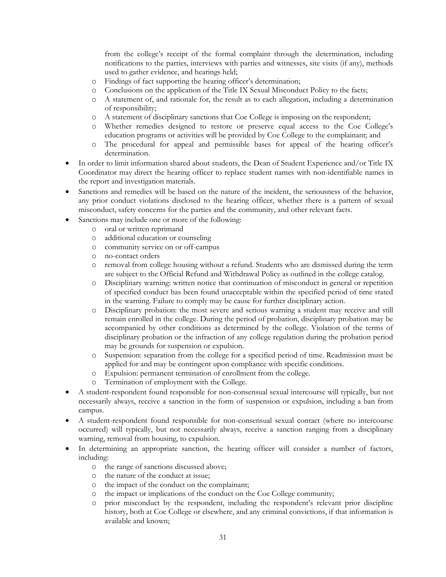from the college's receipt of the formal complaint through the determination, including notifications to the parties, interviews with parties and witnesses, site visits (if any), methods used to gather evidence, and hearings held;

- o Findings of fact supporting the hearing officer's determination;
- o Conclusions on the application of the Title IX Sexual Misconduct Policy to the facts;
- o A statement of, and rationale for, the result as to each allegation, including a determination of responsibility;
- o A statement of disciplinary sanctions that Coe College is imposing on the respondent;
- o Whether remedies designed to restore or preserve equal access to the Coe College's education programs or activities will be provided by Coe College to the complainant; and
- o The procedural for appeal and permissible bases for appeal of the hearing officer's determination.
- In order to limit information shared about students, the Dean of Student Experience and/or Title IX Coordinator may direct the hearing officer to replace student names with non-identifiable names in the report and investigation materials.
- Sanctions and remedies will be based on the nature of the incident, the seriousness of the behavior, any prior conduct violations disclosed to the hearing officer, whether there is a pattern of sexual misconduct, safety concerns for the parties and the community, and other relevant facts.
- Sanctions may include one or more of the following:
	- o oral or written reprimand
	- o additional education or counseling
	- o community service on or off-campus
	- o no-contact orders
	- o removal from college housing without a refund. Students who are dismissed during the term are subject to the Official Refund and Withdrawal Policy as outlined in the college catalog.
	- o Disciplinary warning: written notice that continuation of misconduct in general or repetition of specified conduct has been found unacceptable within the specified period of time stated in the warning. Failure to comply may be cause for further disciplinary action.
	- o Disciplinary probation: the most severe and serious warning a student may receive and still accompanied by other conditions as determined by the college. Violation of the terms of remain enrolled in the college. During the period of probation, disciplinary probation may be disciplinary probation or the infraction of any college regulation during the probation period may be grounds for suspension or expulsion.
	- o Suspension: separation from the college for a specified period of time. Readmission must be applied for and may be contingent upon compliance with specific conditions.
	- o Expulsion: permanent termination of enrollment from the college.
	- Termination of employment with the College.
- A student-respondent found responsible for non-consensual sexual intercourse will typically, but not necessarily always, receive a sanction in the form of suspension or expulsion, including a ban from campus.
- A student-respondent found responsible for non-consensual sexual contact (where no intercourse occurred) will typically, but not necessarily always, receive a sanction ranging from a disciplinary warning, removal from housing, to expulsion.
- In determining an appropriate sanction, the hearing officer will consider a number of factors, including:
	- o the range of sanctions discussed above;
	- o the nature of the conduct at issue;
	- o the impact of the conduct on the complainant;
	- o the impact or implications of the conduct on the Coe College community;
	- o prior misconduct by the respondent, including the respondent's relevant prior discipline history, both at Coe College or elsewhere, and any criminal convictions, if that information is available and known;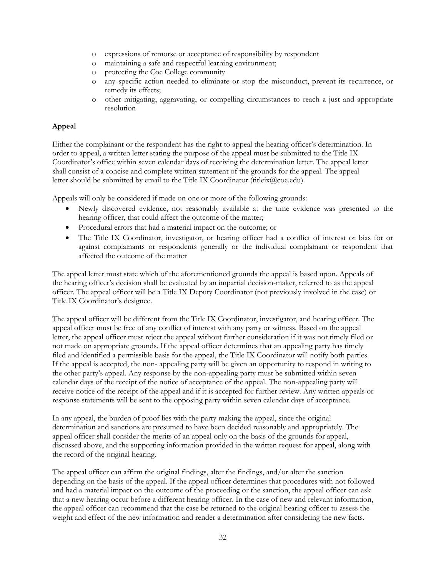- o expressions of remorse or acceptance of responsibility by respondent
- o maintaining a safe and respectful learning environment;
- o protecting the Coe College community
- o any specific action needed to eliminate or stop the misconduct, prevent its recurrence, or remedy its effects;
- o other mitigating, aggravating, or compelling circumstances to reach a just and appropriate resolution

### **Appeal**

Either the complainant or the respondent has the right to appeal the hearing officer's determination. In order to appeal, a written letter stating the purpose of the appeal must be submitted to the Title IX Coordinator's office within seven calendar days of receiving the determination letter. The appeal letter shall consist of a concise and complete written statement of the grounds for the appeal. The appeal letter should be submitted by email to the Title IX Coordinator (titleix $@$ coe.edu).

Appeals will only be considered if made on one or more of the following grounds:

- Newly discovered evidence, not reasonably available at the time evidence was presented to the hearing officer, that could affect the outcome of the matter;
- Procedural errors that had a material impact on the outcome; or
- The Title IX Coordinator, investigator, or hearing officer had a conflict of interest or bias for or against complainants or respondents generally or the individual complainant or respondent that affected the outcome of the matter

The appeal letter must state which of the aforementioned grounds the appeal is based upon. Appeals of the hearing officer's decision shall be evaluated by an impartial decision-maker, referred to as the appeal officer. The appeal officer will be a Title IX Deputy Coordinator (not previously involved in the case) or Title IX Coordinator's designee.

The appeal officer will be different from the Title IX Coordinator, investigator, and hearing officer. The appeal officer must be free of any conflict of interest with any party or witness. Based on the appeal letter, the appeal officer must reject the appeal without further consideration if it was not timely filed or not made on appropriate grounds. If the appeal officer determines that an appealing party has timely filed and identified a permissible basis for the appeal, the Title IX Coordinator will notify both parties. If the appeal is accepted, the non- appealing party will be given an opportunity to respond in writing to the other party's appeal. Any response by the non-appealing party must be submitted within seven calendar days of the receipt of the notice of acceptance of the appeal. The non-appealing party will receive notice of the receipt of the appeal and if it is accepted for further review. Any written appeals or response statements will be sent to the opposing party within seven calendar days of acceptance.

In any appeal, the burden of proof lies with the party making the appeal, since the original determination and sanctions are presumed to have been decided reasonably and appropriately. The appeal officer shall consider the merits of an appeal only on the basis of the grounds for appeal, discussed above, and the supporting information provided in the written request for appeal, along with the record of the original hearing.

The appeal officer can affirm the original findings, alter the findings, and/or alter the sanction depending on the basis of the appeal. If the appeal officer determines that procedures with not followed and had a material impact on the outcome of the proceeding or the sanction, the appeal officer can ask that a new hearing occur before a different hearing officer. In the case of new and relevant information, the appeal officer can recommend that the case be returned to the original hearing officer to assess the weight and effect of the new information and render a determination after considering the new facts.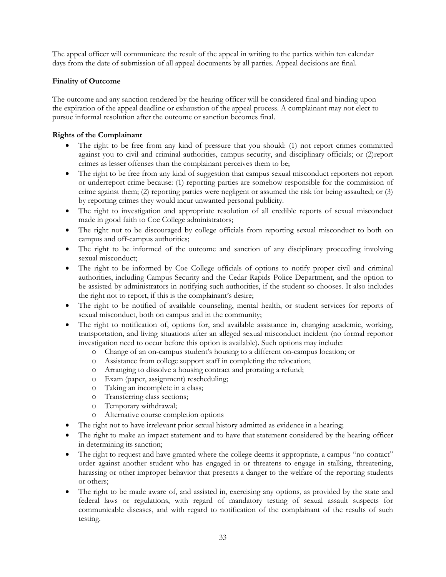The appeal officer will communicate the result of the appeal in writing to the parties within ten calendar days from the date of submission of all appeal documents by all parties. Appeal decisions are final.

### **Finality of Outcome**

 pursue informal resolution after the outcome or sanction becomes final. The outcome and any sanction rendered by the hearing officer will be considered final and binding upon the expiration of the appeal deadline or exhaustion of the appeal process. A complainant may not elect to

### **Rights of the Complainant**

- The right to be free from any kind of pressure that you should: (1) not report crimes committed against you to civil and criminal authorities, campus security, and disciplinary officials; or (2)report crimes as lesser offenses than the complainant perceives them to be;
- The right to be free from any kind of suggestion that campus sexual misconduct reporters not report or underreport crime because: (1) reporting parties are somehow responsible for the commission of crime against them; (2) reporting parties were negligent or assumed the risk for being assaulted; or (3) by reporting crimes they would incur unwanted personal publicity.
- The right to investigation and appropriate resolution of all credible reports of sexual misconduct made in good faith to Coe College administrators;
- The right not to be discouraged by college officials from reporting sexual misconduct to both on campus and off-campus authorities;
- The right to be informed of the outcome and sanction of any disciplinary proceeding involving sexual misconduct;
- The right to be informed by Coe College officials of options to notify proper civil and criminal authorities, including Campus Security and the Cedar Rapids Police Department, and the option to be assisted by administrators in notifying such authorities, if the student so chooses. It also includes the right not to report, if this is the complainant's desire;
- The right to be notified of available counseling, mental health, or student services for reports of sexual misconduct, both on campus and in the community;
- The right to notification of, options for, and available assistance in, changing academic, working, transportation, and living situations after an alleged sexual misconduct incident (no formal reportor investigation need to occur before this option is available). Such options may include:
	- o Change of an on-campus student's housing to a different on-campus location; or
	- o Assistance from college support staff in completing the relocation;
	- o Arranging to dissolve a housing contract and prorating a refund;
	- o Exam (paper, assignment) rescheduling;
	- o Taking an incomplete in a class;
	- o Transferring class sections;
	- o Temporary withdrawal;
	- o Alternative course completion options
- The right not to have irrelevant prior sexual history admitted as evidence in a hearing;
- The right to make an impact statement and to have that statement considered by the hearing officer in determining its sanction;
- The right to request and have granted where the college deems it appropriate, a campus "no contact" order against another student who has engaged in or threatens to engage in stalking, threatening, harassing or other improper behavior that presents a danger to the welfare of the reporting students or others;
- The right to be made aware of, and assisted in, exercising any options, as provided by the state and federal laws or regulations, with regard of mandatory testing of sexual assault suspects for communicable diseases, and with regard to notification of the complainant of the results of such testing.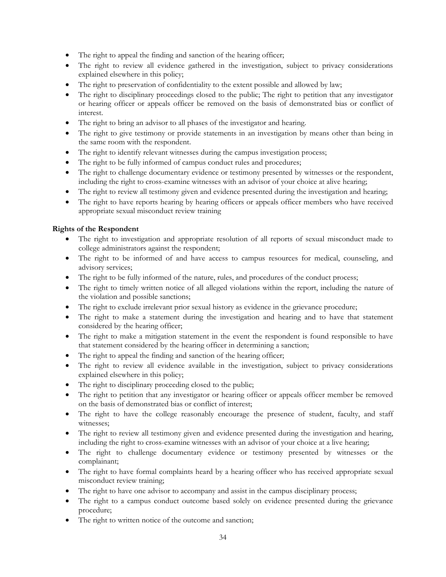- The right to appeal the finding and sanction of the hearing officer;
- The right to review all evidence gathered in the investigation, subject to privacy considerations explained elsewhere in this policy;
- The right to preservation of confidentiality to the extent possible and allowed by law;
- The right to disciplinary proceedings closed to the public; The right to petition that any investigator or hearing officer or appeals officer be removed on the basis of demonstrated bias or conflict of interest.
- The right to bring an advisor to all phases of the investigator and hearing.
- The right to give testimony or provide statements in an investigation by means other than being in the same room with the respondent.
- The right to identify relevant witnesses during the campus investigation process;
- The right to be fully informed of campus conduct rules and procedures;
- The right to challenge documentary evidence or testimony presented by witnesses or the respondent, including the right to cross-examine witnesses with an advisor of your choice at alive hearing;
- The right to review all testimony given and evidence presented during the investigation and hearing;
- The right to have reports hearing by hearing officers or appeals officer members who have received appropriate sexual misconduct review training

### **Rights of the Respondent**

- The right to investigation and appropriate resolution of all reports of sexual misconduct made to college administrators against the respondent;
- The right to be informed of and have access to campus resources for medical, counseling, and advisory services;
- The right to be fully informed of the nature, rules, and procedures of the conduct process;
- The right to timely written notice of all alleged violations within the report, including the nature of the violation and possible sanctions;
- The right to exclude irrelevant prior sexual history as evidence in the grievance procedure;
- The right to make a statement during the investigation and hearing and to have that statement considered by the hearing officer;
- The right to make a mitigation statement in the event the respondent is found responsible to have that statement considered by the hearing officer in determining a sanction;
- The right to appeal the finding and sanction of the hearing officer;
- The right to review all evidence available in the investigation, subject to privacy considerations explained elsewhere in this policy;
- The right to disciplinary proceeding closed to the public;
- The right to petition that any investigator or hearing officer or appeals officer member be removed on the basis of demonstrated bias or conflict of interest;
- The right to have the college reasonably encourage the presence of student, faculty, and staff witnesses;
- The right to review all testimony given and evidence presented during the investigation and hearing, including the right to cross-examine witnesses with an advisor of your choice at a live hearing;
- The right to challenge documentary evidence or testimony presented by witnesses or the complainant;
- The right to have formal complaints heard by a hearing officer who has received appropriate sexual misconduct review training;
- The right to have one advisor to accompany and assist in the campus disciplinary process;
- The right to a campus conduct outcome based solely on evidence presented during the grievance procedure;
- The right to written notice of the outcome and sanction;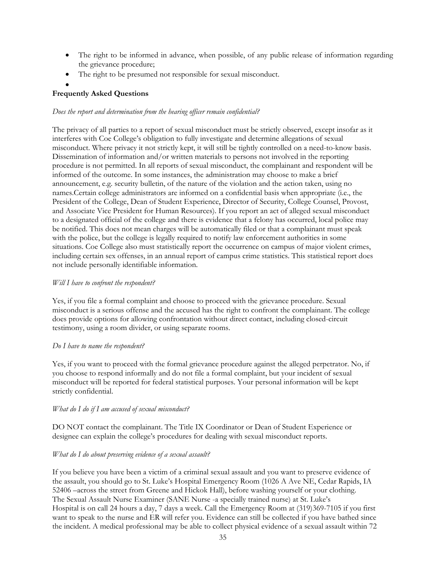- The right to be informed in advance, when possible, of any public release of information regarding the grievance procedure;
- The right to be presumed not responsible for sexual misconduct.

### $\bullet$ **Frequently Asked Questions**

### *Does the report and determination from the hearing officer remain confidential?*

 informed of the outcome. In some instances, the administration may choose to make a brief announcement, e.g. security bulletin, of the nature of the violation and the action taken, using no The privacy of all parties to a report of sexual misconduct must be strictly observed, except insofar as it interferes with Coe College's obligation to fully investigate and determine allegations of sexual misconduct. Where privacy it not strictly kept, it will still be tightly controlled on a need-to-know basis. Dissemination of information and/or written materials to persons not involved in the reporting procedure is not permitted. In all reports of sexual misconduct, the complainant and respondent will be names.Certain college administrators are informed on a confidential basis when appropriate (i.e., the President of the College, Dean of Student Experience, Director of Security, College Counsel, Provost, and Associate Vice President for Human Resources). If you report an act of alleged sexual misconduct to a designated official of the college and there is evidence that a felony has occurred, local police may be notified. This does not mean charges will be automatically filed or that a complainant must speak with the police, but the college is legally required to notify law enforcement authorities in some situations. Coe College also must statistically report the occurrence on campus of major violent crimes, including certain sex offenses, in an annual report of campus crime statistics. This statistical report does not include personally identifiable information.

### *Will I have to confront the respondent?*

Yes, if you file a formal complaint and choose to proceed with the grievance procedure. Sexual misconduct is a serious offense and the accused has the right to confront the complainant. The college does provide options for allowing confrontation without direct contact, including closed-circuit testimony, using a room divider, or using separate rooms.

### *Do I have to name the respondent?*

Yes, if you want to proceed with the formal grievance procedure against the alleged perpetrator. No, if you choose to respond informally and do not file a formal complaint, but your incident of sexual misconduct will be reported for federal statistical purposes. Your personal information will be kept strictly confidential.

### *What do I do if I am accused of sexual misconduct?*

DO NOT contact the complainant. The Title IX Coordinator or Dean of Student Experience or designee can explain the college's procedures for dealing with sexual misconduct reports.

### *What do I do about preserving evidence of a sexual assault?*

If you believe you have been a victim of a criminal sexual assault and you want to preserve evidence of the assault, you should go to St. Luke's Hospital Emergency Room (1026 A Ave NE, Cedar Rapids, IA 52406 –across the street from Greene and Hickok Hall), before washing yourself or your clothing. The Sexual Assault Nurse Examiner (SANE Nurse -a specially trained nurse) at St. Luke's Hospital is on call 24 hours a day, 7 days a week. Call the Emergency Room at (319)369-7105 if you first want to speak to the nurse and ER will refer you. Evidence can still be collected if you have bathed since the incident. A medical professional may be able to collect physical evidence of a sexual assault within 72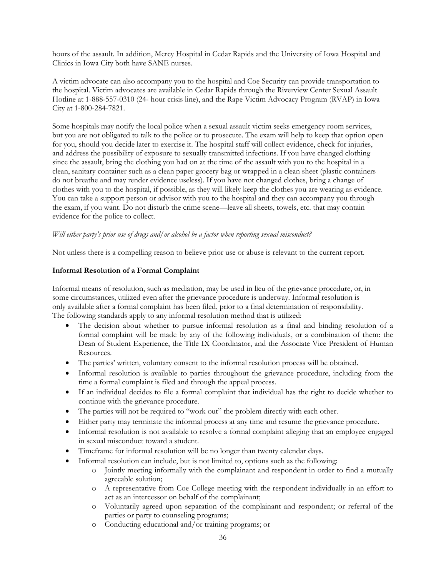hours of the assault. In addition, Mercy Hospital in Cedar Rapids and the University of Iowa Hospital and Clinics in Iowa City both have SANE nurses.

A victim advocate can also accompany you to the hospital and Coe Security can provide transportation to the hospital. Victim advocates are available in Cedar Rapids through the Riverview Center Sexual Assault Hotline at 1-888-557-0310 (24- hour crisis line), and the Rape Victim Advocacy Program (RVAP) in Iowa City at 1-800-284-7821.

Some hospitals may notify the local police when a sexual assault victim seeks emergency room services, but you are not obligated to talk to the police or to prosecute. The exam will help to keep that option open for you, should you decide later to exercise it. The hospital staff will collect evidence, check for injuries, and address the possibility of exposure to sexually transmitted infections. If you have changed clothing since the assault, bring the clothing you had on at the time of the assault with you to the hospital in a clean, sanitary container such as a clean paper grocery bag or wrapped in a clean sheet (plastic containers do not breathe and may render evidence useless). If you have not changed clothes, bring a change of clothes with you to the hospital, if possible, as they will likely keep the clothes you are wearing as evidence. You can take a support person or advisor with you to the hospital and they can accompany you through the exam, if you want. Do not disturb the crime scene—leave all sheets, towels, etc. that may contain evidence for the police to collect.

### *Will either party's prior use of drugs and/or alcohol be a factor when reporting sexual misconduct?*

Not unless there is a compelling reason to believe prior use or abuse is relevant to the current report.

### **Informal Resolution of a Formal Complaint**

Informal means of resolution, such as mediation, may be used in lieu of the grievance procedure, or, in some circumstances, utilized even after the grievance procedure is underway. Informal resolution is only available after a formal complaint has been filed, prior to a final determination of responsibility. The following standards apply to any informal resolution method that is utilized:

- formal complaint will be made by any of the following individuals, or a combination of them: the The decision about whether to pursue informal resolution as a final and binding resolution of a Dean of Student Experience, the Title IX Coordinator, and the Associate Vice President of Human Resources.
- The parties' written, voluntary consent to the informal resolution process will be obtained.
- Informal resolution is available to parties throughout the grievance procedure, including from the time a formal complaint is filed and through the appeal process.
- If an individual decides to file a formal complaint that individual has the right to decide whether to continue with the grievance procedure.
- The parties will not be required to "work out" the problem directly with each other.
- Either party may terminate the informal process at any time and resume the grievance procedure.
- Informal resolution is not available to resolve a formal complaint alleging that an employee engaged in sexual misconduct toward a student.
- Timeframe for informal resolution will be no longer than twenty calendar days.
- Informal resolution can include, but is not limited to, options such as the following:
	- o Jointly meeting informally with the complainant and respondent in order to find a mutually agreeable solution;
	- o A representative from Coe College meeting with the respondent individually in an effort to act as an intercessor on behalf of the complainant;
	- o Voluntarily agreed upon separation of the complainant and respondent; or referral of the parties or party to counseling programs;
	- o Conducting educational and/or training programs; or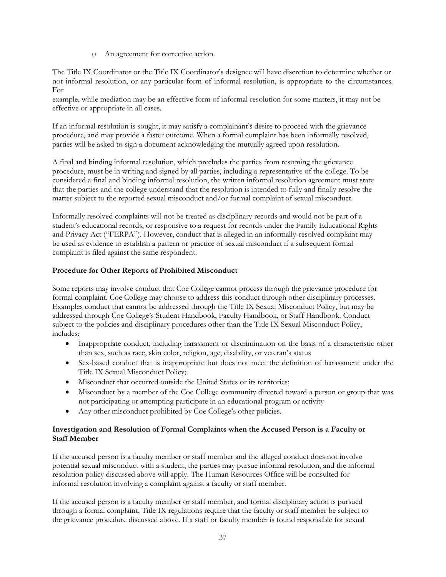o An agreement for corrective action.

The Title IX Coordinator or the Title IX Coordinator's designee will have discretion to determine whether or not informal resolution, or any particular form of informal resolution, is appropriate to the circumstances. For

example, while mediation may be an effective form of informal resolution for some matters, it may not be effective or appropriate in all cases.

If an informal resolution is sought, it may satisfy a complainant's desire to proceed with the grievance procedure, and may provide a faster outcome. When a formal complaint has been informally resolved, parties will be asked to sign a document acknowledging the mutually agreed upon resolution.

A final and binding informal resolution, which precludes the parties from resuming the grievance procedure, must be in writing and signed by all parties, including a representative of the college. To be considered a final and binding informal resolution, the written informal resolution agreement must state that the parties and the college understand that the resolution is intended to fully and finally resolve the matter subject to the reported sexual misconduct and/or formal complaint of sexual misconduct.

 be used as evidence to establish a pattern or practice of sexual misconduct if a subsequent formal Informally resolved complaints will not be treated as disciplinary records and would not be part of a student's educational records, or responsive to a request for records under the Family Educational Rights and Privacy Act ("FERPA"). However, conduct that is alleged in an informally-resolved complaint may complaint is filed against the same respondent.

### **Procedure for Other Reports of Prohibited Misconduct**

 subject to the policies and disciplinary procedures other than the Title IX Sexual Misconduct Policy, Some reports may involve conduct that Coe College cannot process through the grievance procedure for formal complaint. Coe College may choose to address this conduct through other disciplinary processes. Examples conduct that cannot be addressed through the Title IX Sexual Misconduct Policy, but may be addressed through Coe College's Student Handbook, Faculty Handbook, or Staff Handbook. Conduct includes:

- Inappropriate conduct, including harassment or discrimination on the basis of a characteristic other than sex, such as race, skin color, religion, age, disability, or veteran's status
- Sex-based conduct that is inappropriate but does not meet the definition of harassment under the Title IX Sexual Misconduct Policy;
- Misconduct that occurred outside the United States or its territories;
- Misconduct by a member of the Coe College community directed toward a person or group that was not participating or attempting participate in an educational program or activity
- Any other misconduct prohibited by Coe College's other policies.

### **Investigation and Resolution of Formal Complaints when the Accused Person is a Faculty or Staff Member**

If the accused person is a faculty member or staff member and the alleged conduct does not involve potential sexual misconduct with a student, the parties may pursue informal resolution, and the informal resolution policy discussed above will apply. The Human Resources Office will be consulted for informal resolution involving a complaint against a faculty or staff member.

If the accused person is a faculty member or staff member, and formal disciplinary action is pursued through a formal complaint, Title IX regulations require that the faculty or staff member be subject to the grievance procedure discussed above. If a staff or faculty member is found responsible for sexual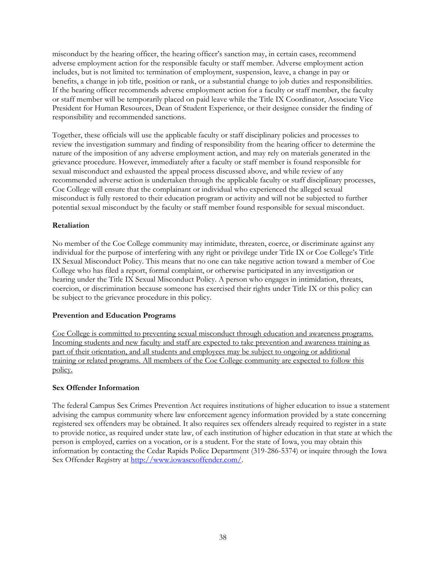misconduct by the hearing officer, the hearing officer's sanction may, in certain cases, recommend adverse employment action for the responsible faculty or staff member. Adverse employment action includes, but is not limited to: termination of employment, suspension, leave, a change in pay or benefits, a change in job title, position or rank, or a substantial change to job duties and responsibilities. If the hearing officer recommends adverse employment action for a faculty or staff member, the faculty or staff member will be temporarily placed on paid leave while the Title IX Coordinator, Associate Vice President for Human Resources, Dean of Student Experience, or their designee consider the finding of responsibility and recommended sanctions.

 Coe College will ensure that the complainant or individual who experienced the alleged sexual Together, these officials will use the applicable faculty or staff disciplinary policies and processes to review the investigation summary and finding of responsibility from the hearing officer to determine the nature of the imposition of any adverse employment action, and may rely on materials generated in the grievance procedure. However, immediately after a faculty or staff member is found responsible for sexual misconduct and exhausted the appeal process discussed above, and while review of any recommended adverse action is undertaken through the applicable faculty or staff disciplinary processes, misconduct is fully restored to their education program or activity and will not be subjected to further potential sexual misconduct by the faculty or staff member found responsible for sexual misconduct.

### **Retaliation**

No member of the Coe College community may intimidate, threaten, coerce, or discriminate against any individual for the purpose of interfering with any right or privilege under Title IX or Coe College's Title IX Sexual Misconduct Policy. This means that no one can take negative action toward a member of Coe College who has filed a report, formal complaint, or otherwise participated in any investigation or hearing under the Title IX Sexual Misconduct Policy. A person who engages in intimidation, threats, coercion, or discrimination because someone has exercised their rights under Title IX or this policy can be subject to the grievance procedure in this policy.

### **Prevention and Education Programs**

Coe College is committed to preventing sexual misconduct through education and awareness programs. Incoming students and new faculty and staff are expected to take prevention and awareness training as part of their orientation, and all students and employees may be subject to ongoing or additional training or related programs. All members of the Coe College community are expected to follow this policy.

### **Sex Offender Information**

The federal Campus Sex Crimes Prevention Act requires institutions of higher education to issue a statement advising the campus community where law enforcement agency information provided by a state concerning registered sex offenders may be obtained. It also requires sex offenders already required to register in a state to provide notice, as required under state law, of each institution of higher education in that state at which the person is employed, carries on a vocation, or is a student. For the state of Iowa, you may obtain this information by contacting the Cedar Rapids Police Department (319-286-5374) or inquire through the Iowa Sex Offender Registry at [http://www.iowasexoffender.com/.](http://www.iowasexoffender.com/)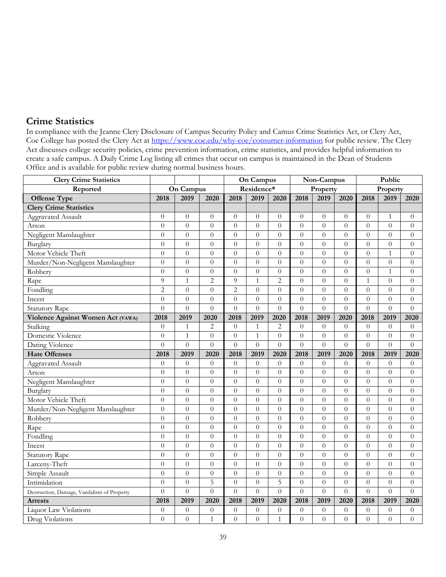# **Crime Statistics**

 Act discusses college security policies, crime prevention information, crime statistics, and provides helpful information to In compliance with the Jeanne Clery Disclosure of Campus Security Policy and Camus Crime Statistics Act, or Clery Act, Coe College has posted the Clery Act at [https://www.coe.edu/why-coe/consumer-information f](https://www.coe.edu/why-coe/consumer-information)or public review. The Clery create a safe campus. A Daily Crime Log listing all crimes that occur on campus is maintained in the Dean of Students Office and is available for public review during normal business hours.

| <b>Clery Crime Statistics</b>              |                |                  |                | <b>On Campus</b> |                  |                  | Non-Campus       |                  | Public           |                  |                  |                  |
|--------------------------------------------|----------------|------------------|----------------|------------------|------------------|------------------|------------------|------------------|------------------|------------------|------------------|------------------|
| Reported                                   | On Campus      |                  |                |                  | Residence*       |                  | Property         |                  |                  | Property         |                  |                  |
| <b>Offense Type</b>                        | 2018           | 2019             | 2020           | 2018             | 2019             | 2020             | 2018             | 2019             | 2020             | 2018             | 2019             | 2020             |
| <b>Clery Crime Statistics</b>              |                |                  |                |                  |                  |                  |                  |                  |                  |                  |                  |                  |
| Aggravated Assault                         | $\overline{0}$ | $\theta$         | $\theta$       | $\theta$         | $\theta$         | $\overline{0}$   | $\theta$         | $\overline{0}$   | $\overline{0}$   | $\theta$         | $\mathbf{1}$     | $\theta$         |
| Arson                                      | $\theta$       | $\theta$         | $\theta$       | $\theta$         | $\theta$         | $\overline{0}$   | $\overline{0}$   | $\overline{0}$   | $\theta$         | $\overline{0}$   | $\theta$         | $\theta$         |
| Negligent Manslaughter                     | $\overline{0}$ | $\overline{0}$   | $\theta$       | $\theta$         | $\theta$         | $\overline{0}$   | $\theta$         | $\overline{0}$   | $\theta$         | $\overline{0}$   | $\theta$         | $\overline{0}$   |
| Burglary                                   | $\overline{0}$ | $\boldsymbol{0}$ | $\overline{0}$ | $\overline{0}$   | $\overline{0}$   | $\overline{0}$   | $\overline{0}$   | $\boldsymbol{0}$ | $\theta$         | $\boldsymbol{0}$ | $\overline{0}$   | $\boldsymbol{0}$ |
| Motor Vehicle Theft                        | $\overline{0}$ | $\boldsymbol{0}$ | $\overline{0}$ | $\overline{0}$   | $\theta$         | $\overline{0}$   | $\overline{0}$   | $\overline{0}$   | $\overline{0}$   | $\overline{0}$   | $\mathbf{1}$     | $\overline{0}$   |
| Murder/Non-Negligent Manslaughter          | $\overline{0}$ | $\theta$         | $\overline{0}$ | $\overline{0}$   | $\theta$         | $\overline{0}$   | $\overline{0}$   | $\overline{0}$   | $\theta$         | $\overline{0}$   | $\theta$         | $\theta$         |
| Robbery                                    | $\theta$       | $\theta$         | $\overline{0}$ | $\overline{0}$   | $\overline{0}$   | $\overline{0}$   | $\overline{0}$   | $\overline{0}$   | $\theta$         | $\overline{0}$   | $\mathbf{1}$     | $\theta$         |
| Rape                                       | 9              | $\mathbf{1}$     | $\overline{2}$ | 9                | 1                | $\overline{2}$   | $\overline{0}$   | $\overline{0}$   | $\theta$         | $\mathbf{1}$     | $\theta$         | $\theta$         |
| Fondling                                   | $\overline{2}$ | $\overline{0}$   | $\overline{0}$ | $\overline{2}$   | $\overline{0}$   | $\overline{0}$   | $\overline{0}$   | $\overline{0}$   | $\theta$         | $\overline{0}$   | $\theta$         | $\theta$         |
| Incest                                     | $\overline{0}$ | $\boldsymbol{0}$ | $\overline{0}$ | $\overline{0}$   | $\theta$         | $\boldsymbol{0}$ | $\boldsymbol{0}$ | $\boldsymbol{0}$ | $\boldsymbol{0}$ | $\overline{0}$   | $\overline{0}$   | $\boldsymbol{0}$ |
| <b>Statutory Rape</b>                      | $\theta$       | $\overline{0}$   | $\overline{0}$ | $\overline{0}$   | $\theta$         | $\overline{0}$   | $\overline{0}$   | $\overline{0}$   | $\overline{0}$   | $\overline{0}$   | $\overline{0}$   | $\theta$         |
| Violence Against Women Act (VAWA)          | 2018           | 2019             | 2020           | 2018             | 2019             | 2020             | 2018             | 2019             | 2020             | 2018             | 2019             | 2020             |
| Stalking                                   | $\overline{0}$ | $\mathbf{1}$     | $\overline{2}$ | $\overline{0}$   | $\mathbf{1}$     | $\overline{2}$   | $\overline{0}$   | $\overline{0}$   | $\theta$         | $\overline{0}$   | $\theta$         | $\theta$         |
| Domestic Violence                          | $\overline{0}$ | $\mathbf{1}$     | $\overline{0}$ | $\theta$         | $\mathbf{1}$     | $\overline{0}$   | $\overline{0}$   | $\overline{0}$   | $\theta$         | $\theta$         | $\theta$         | $\theta$         |
| Dating Violence                            | $\theta$       | $\theta$         | $\theta$       | $\theta$         | $\Omega$         | $\theta$         | $\theta$         | $\overline{0}$   | $\theta$         | $\theta$         | $\theta$         | $\Omega$         |
| <b>Hate Offenses</b>                       | 2018           | 2019             | 2020           | 2018             | 2019             | 2020             | 2018             | 2019             | 2020             | 2018             | 2019             | 2020             |
| Aggravated Assault                         | $\theta$       | $\theta$         | $\theta$       | $\theta$         | $\theta$         | $\boldsymbol{0}$ | $\overline{0}$   | $\overline{0}$   | $\overline{0}$   | $\theta$         | $\theta$         | $\theta$         |
| Arson                                      | $\theta$       | $\theta$         | $\overline{0}$ | $\overline{0}$   | $\Omega$         | $\overline{0}$   | $\overline{0}$   | $\overline{0}$   | $\theta$         | $\theta$         | $\Omega$         | $\theta$         |
| Negligent Manslaughter                     | $\theta$       | $\theta$         | $\overline{0}$ | $\overline{0}$   | $\theta$         | $\overline{0}$   | $\overline{0}$   | $\theta$         | $\theta$         | $\theta$         | $\theta$         | $\theta$         |
| Burglary                                   | $\theta$       | $\theta$         | $\overline{0}$ | $\overline{0}$   | $\theta$         | $\overline{0}$   | $\overline{0}$   | $\overline{0}$   | $\theta$         | $\overline{0}$   | $\theta$         | $\theta$         |
| Motor Vehicle Theft                        | $\theta$       | $\overline{0}$   | $\theta$       | $\theta$         | $\theta$         | $\theta$         | $\Omega$         | $\overline{0}$   | $\theta$         | $\theta$         | $\theta$         | $\theta$         |
| Murder/Non-Negligent Manslaughter          | $\overline{0}$ | $\boldsymbol{0}$ | $\overline{0}$ | $\overline{0}$   | $\overline{0}$   | $\overline{0}$   | $\overline{0}$   | $\overline{0}$   | $\theta$         | $\overline{0}$   | $\overline{0}$   | $\theta$         |
| Robbery                                    | $\overline{0}$ | $\boldsymbol{0}$ | $\overline{0}$ | $\overline{0}$   | $\overline{0}$   | $\overline{0}$   | $\overline{0}$   | $\overline{0}$   | $\overline{0}$   | $\overline{0}$   | $\overline{0}$   | $\boldsymbol{0}$ |
| Rape                                       | $\overline{0}$ | $\overline{0}$   | $\theta$       | $\overline{0}$   | $\overline{0}$   | $\overline{0}$   | $\overline{0}$   | $\overline{0}$   | $\theta$         | $\overline{0}$   | $\overline{0}$   | $\boldsymbol{0}$ |
| Fondling                                   | $\theta$       | $\overline{0}$   | $\theta$       | $\overline{0}$   | $\theta$         | $\overline{0}$   | $\overline{0}$   | $\overline{0}$   | $\theta$         | $\overline{0}$   | $\overline{0}$   | $\theta$         |
| Incest                                     | $\theta$       | $\overline{0}$   | $\theta$       | $\overline{0}$   | $\theta$         | $\theta$         | $\overline{0}$   | $\overline{0}$   | $\theta$         | $\overline{0}$   | $\overline{0}$   | $\overline{0}$   |
| <b>Statutory Rape</b>                      | $\theta$       | $\overline{0}$   | $\theta$       | $\overline{0}$   | $\theta$         | $\overline{0}$   | $\theta$         | $\overline{0}$   | $\theta$         | $\theta$         | $\theta$         | $\theta$         |
| Larceny-Theft                              | $\theta$       | $\boldsymbol{0}$ | $\overline{0}$ | $\overline{0}$   | $\overline{0}$   | $\overline{0}$   | $\overline{0}$   | $\boldsymbol{0}$ | $\theta$         | $\overline{0}$   | $\overline{0}$   | $\theta$         |
| Simple Assault                             | $\overline{0}$ | $\overline{0}$   | $\overline{0}$ | $\overline{0}$   | $\overline{0}$   | $\overline{0}$   | $\overline{0}$   | $\overline{0}$   | $\overline{0}$   | $\overline{0}$   | $\overline{0}$   | $\overline{0}$   |
| Intimidation                               | $\theta$       | $\theta$         | 5              | $\overline{0}$   | $\overline{0}$   | 5                | $\overline{0}$   | $\overline{0}$   | $\theta$         | $\overline{0}$   | $\overline{0}$   | $\overline{0}$   |
| Destruction, Damage, Vandalism of Property | $\theta$       | $\overline{0}$   | $\theta$       | $\overline{0}$   | $\theta$         | $\overline{0}$   | $\overline{0}$   | $\overline{0}$   | $\theta$         | $\theta$         | $\theta$         | $\theta$         |
| Arrests                                    | 2018           | 2019             | 2020           | 2018             | 2019             | 2020             | 2018             | 2019             | 2020             | 2018             | 2019             | 2020             |
| Liquor Law Violations                      | $\overline{0}$ | $\boldsymbol{0}$ | $\overline{0}$ | $\boldsymbol{0}$ | $\boldsymbol{0}$ | $\boldsymbol{0}$ | $\boldsymbol{0}$ | $\boldsymbol{0}$ | $\boldsymbol{0}$ | $\boldsymbol{0}$ | $\boldsymbol{0}$ | $\boldsymbol{0}$ |
| Drug Violations                            | $\overline{0}$ | $\boldsymbol{0}$ | $\,1\,$        | $\overline{0}$   | $\overline{0}$   | $\mathbf{1}$     | $\overline{0}$   | $\boldsymbol{0}$ | $\overline{0}$   | $\overline{0}$   | $\overline{0}$   | $\boldsymbol{0}$ |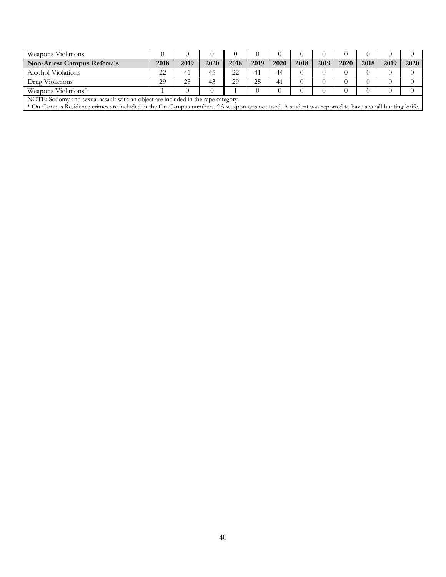| Weapons Violations                 |      |      |      |      |      |      |      |      |      |      |      |      |
|------------------------------------|------|------|------|------|------|------|------|------|------|------|------|------|
| <b>Non-Arrest Campus Referrals</b> | 2018 | 2019 | 2020 | 2018 | 2019 | 2020 | 2018 | 2019 | 2020 | 2018 | 2019 | 2020 |
| Alcohol Violations                 | 22   | 41   | 45   | つつ   | 41   | 44   |      |      |      |      |      |      |
| Drug Violations                    | 29   | 25   | 43   | 29   | 25   | 41   |      |      |      |      |      |      |
| Weapons Violations <sup>^</sup>    |      |      |      |      |      |      |      |      |      |      |      |      |
|                                    |      |      |      |      |      |      |      |      |      |      |      |      |

NOTE: Sodomy and sexual assault with an object are included in the rape category.

\* On-Campus Residence crimes are included in the On-Campus numbers. ^A weapon was not used. A student was reported to have a small hunting knife.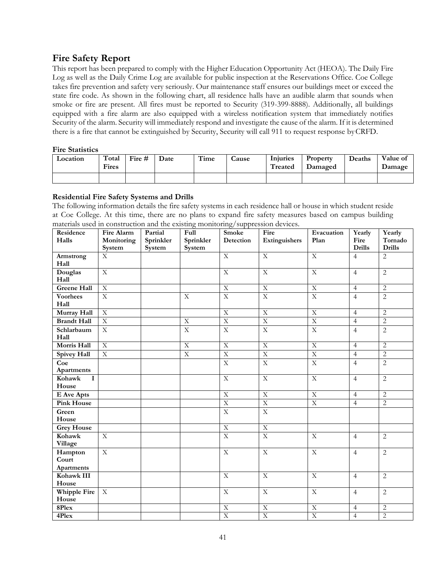# **Fire Safety Report**

 state fire code. As shown in the following chart, all residence halls have an audible alarm that sounds when smoke or fire are present. All fires must be reported to Security (319-399-8888). Additionally, all buildings equipped with a fire alarm are also equipped with a wireless notification system that immediately notifies there is a fire that cannot be extinguished by Security, Security will call 911 to request response byCRFD. This report has been prepared to comply with the Higher Education Opportunity Act (HEOA). The Daily Fire Log as well as the Daily Crime Log are available for public inspection at the Reservations Office. Coe College takes fire prevention and safety very seriously. Our maintenance staff ensures our buildings meet or exceed the Security of the alarm. Security will immediately respond and investigate the cause of the alarm. If it is determined

### **Fire Statistics**

| Location | Total<br>Fires | Fire $#$ | Date | Time | <b>Cause</b> | Injuries<br>Treated | Property<br>Damaged | Deaths | Value of<br>Damage |
|----------|----------------|----------|------|------|--------------|---------------------|---------------------|--------|--------------------|
|          |                |          |      |      |              |                     |                     |        |                    |

### **Residential Fire Safety Systems and Drills**

 at Coe College. At this time, there are no plans to expand fire safety measures based on campus building The following information details the fire safety systems in each residence hall or house in which student reside materials used in construction and the existing monitoring/suppression devices.

| Residence              | <b>Fire Alarm</b> | Partial   | $\overline{Full}$       | <b>Smoke</b>            | Fire                    | Evacuation                | Yearly         | Yearly         |
|------------------------|-------------------|-----------|-------------------------|-------------------------|-------------------------|---------------------------|----------------|----------------|
| Halls                  | Monitoring        | Sprinkler | Sprinkler               | Detection               | Extinguishers           | Plan                      | Fire           | Tornado        |
|                        | System            | System    | System                  |                         |                         |                           | <b>Drills</b>  | <b>Drills</b>  |
| Armstrong              | X                 |           |                         | $\overline{X}$          | $\overline{X}$          | $\overline{X}$            | $\overline{4}$ | $\overline{2}$ |
| Hall                   |                   |           |                         |                         |                         |                           |                |                |
| Douglas                | $\mathbf X$       |           |                         | $\mathbf X$             | $\overline{\mathbf{X}}$ | $\mathbf X$               | $\overline{4}$ | $\overline{2}$ |
| Hall                   |                   |           |                         |                         |                         |                           |                |                |
| <b>Greene Hall</b>     | $\overline{X}$    |           |                         | $\overline{X}$          | $\overline{X}$          | $\overline{X}$            | $\overline{4}$ | $\overline{2}$ |
| <b>Voorhees</b>        | $\overline{X}$    |           | $\overline{X}$          | $\overline{X}$          | $\overline{X}$          | $\overline{X}$            | $\overline{4}$ | $\overline{2}$ |
| Hall                   |                   |           |                         |                         |                         |                           |                |                |
| Murray Hall            | $\overline{X}$    |           |                         | $\overline{X}$          | $\overline{X}$          | $\overline{X}$            | $\overline{4}$ | $\overline{2}$ |
| <b>Brandt Hall</b>     | $\overline{X}$    |           | $\overline{X}$          | $\overline{X}$          | $\overline{X}$          | $\overline{X}$            | $\overline{4}$ | $\overline{2}$ |
| Schlarbaum             | $\mathbf X$       |           | $\mathbf X$             | $\mathbf X$             | $\mathbf X$             | $\mathbf X$               | $\overline{4}$ | $\overline{2}$ |
| Hall                   |                   |           |                         |                         |                         |                           |                |                |
| Morris Hall            | $\overline{X}$    |           | $\overline{\mathbf{X}}$ | $\overline{X}$          | $\overline{X}$          | $\overline{X}$            | $\overline{4}$ | $\overline{2}$ |
| Spivey Hall            | $\overline{X}$    |           | $\overline{X}$          | $\overline{X}$          | $\overline{X}$          | $\overline{X}$            | $\overline{4}$ | $\overline{2}$ |
| Coe                    |                   |           |                         | $\overline{X}$          | $\overline{X}$          | $\overline{\mathbf{X}}$   | $\overline{4}$ | $\overline{2}$ |
| Apartments             |                   |           |                         |                         |                         |                           |                |                |
| Kohawk<br>$\mathbf{I}$ |                   |           |                         | $\overline{X}$          | $\overline{X}$          | $\overline{X}$            | $\overline{4}$ | $\overline{2}$ |
| House                  |                   |           |                         |                         |                         |                           |                |                |
| E Ave Apts             |                   |           |                         | $\overline{X}$          | $\overline{X}$          | $\boldsymbol{\mathrm{X}}$ | $\overline{4}$ | $\overline{2}$ |
| <b>Pink House</b>      |                   |           |                         | $\overline{X}$          | $\overline{X}$          | $\overline{X}$            | $\overline{4}$ | $\overline{2}$ |
| Green                  |                   |           |                         | $\overline{X}$          | $\overline{X}$          |                           |                |                |
| House                  |                   |           |                         |                         |                         |                           |                |                |
| <b>Grey House</b>      |                   |           |                         | $\overline{X}$          | $\overline{X}$          |                           |                |                |
| Kohawk                 | $\mathbf X$       |           |                         | $\overline{X}$          | $\overline{X}$          | $\mathbf X$               | $\overline{4}$ | $\overline{2}$ |
| Village                |                   |           |                         |                         |                         |                           |                |                |
| Hampton                | $\overline{X}$    |           |                         | $\overline{X}$          | $\overline{X}$          | $\overline{X}$            | $\overline{4}$ | 2              |
| Court                  |                   |           |                         |                         |                         |                           |                |                |
| Apartments             |                   |           |                         |                         |                         |                           |                |                |
| Kohawk III             |                   |           |                         | $\overline{X}$          | $\overline{X}$          | $\overline{X}$            | $\overline{4}$ | $\overline{2}$ |
| House                  |                   |           |                         |                         |                         |                           |                |                |
| Whipple Fire           | $\mathbf X$       |           |                         | $\overline{\mathbf{X}}$ | $\overline{\mathbf{X}}$ | $\mathbf X$               | $\overline{4}$ | $\overline{2}$ |
| House                  |                   |           |                         |                         |                         |                           |                |                |
| 8Plex                  |                   |           |                         | $\overline{X}$          | $\overline{X}$          | $\overline{X}$            | $\overline{4}$ | $\overline{2}$ |
| 4Plex                  |                   |           |                         | $\overline{X}$          | $\overline{X}$          | $\overline{X}$            | $\overline{4}$ | $\overline{2}$ |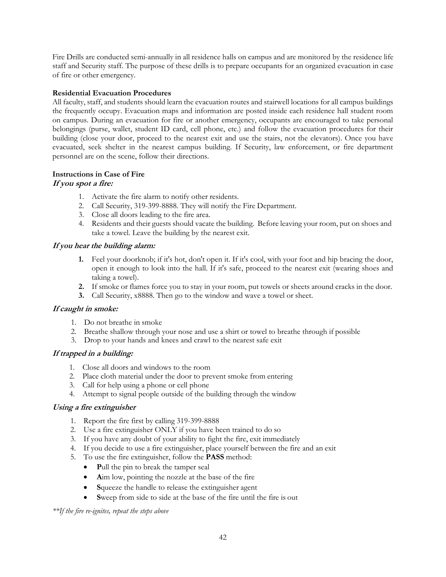Fire Drills are conducted semi-annually in all residence halls on campus and are monitored by the residence life staff and Security staff. The purpose of these drills is to prepare occupants for an organized evacuation in case of fire or other emergency.

### **Residential Evacuation Procedures**

 belongings (purse, wallet, student ID card, cell phone, etc.) and follow the evacuation procedures for their building (close your door, proceed to the nearest exit and use the stairs, not the elevators). Once you have All faculty, staff, and students should learn the evacuation routes and stairwell locations for all campus buildings the frequently occupy. Evacuation maps and information are posted inside each residence hall student room on campus. During an evacuation for fire or another emergency, occupants are encouraged to take personal evacuated, seek shelter in the nearest campus building. If Security, law enforcement, or fire department personnel are on the scene, follow their directions.

### **Instructions in Case of Fire If you spot a fire:**

- 1. Activate the fire alarm to notify other residents.
- 2. Call Security, 319-399-8888. They will notify the Fire Department.
- 3. Close all doors leading to the fire area.
- 4. Residents and their guests should vacate the building. Before leaving your room, put on shoes and take a towel. Leave the building by the nearest exit.

### **If you hear the building alarm:**

- **1.** Feel your doorknob; if it's hot, don't open it. If it's cool, with your foot and hip bracing the door, open it enough to look into the hall. If it's safe, proceed to the nearest exit (wearing shoes and taking a towel).
- **2.** If smoke or flames force you to stay in your room, put towels or sheets around cracks in the door.
- **3.** Call Security, x8888. Then go to the window and wave a towel or sheet.

### **If caught in smoke:**

- 1. Do not breathe in smoke
- 2. Breathe shallow through your nose and use a shirt or towel to breathe through if possible
- 3. Drop to your hands and knees and crawl to the nearest safe exit

### **If trapped in a building:**

- 1. Close all doors and windows to the room
- 2. Place cloth material under the door to prevent smoke from entering
- 3. Call for help using a phone or cell phone
- 4. Attempt to signal people outside of the building through the window

### **Using a fire extinguisher**

- 1. Report the fire first by calling 319-399-8888
- 2. Use a fire extinguisher ONLY if you have been trained to do so
- 3. If you have any doubt of your ability to fight the fire, exit immediately
- 4. If you decide to use a fire extinguisher, place yourself between the fire and an exit
- 5. To use the fire extinguisher, follow the **PASS** method:
	- Pull the pin to break the tamper seal
	- Aim low, pointing the nozzle at the base of the fire
	- **S**queeze the handle to release the extinguisher agent
	- **S**weep from side to side at the base of the fire until the fire is out

### *\*\*If the fire re-ignites, repeat the steps above*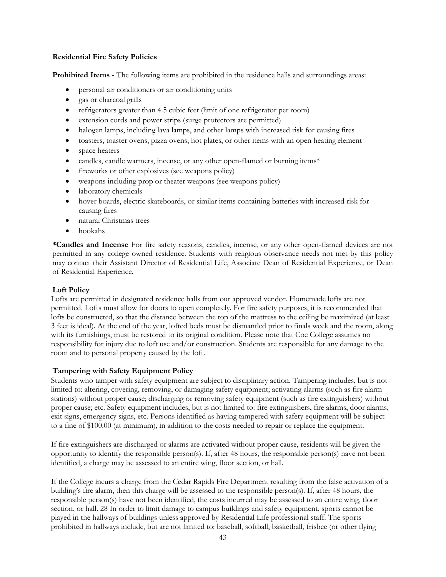### **Residential Fire Safety Policies**

**Prohibited Items -** The following items are prohibited in the residence halls and surroundings areas:

- personal air conditioners or air conditioning units
- gas or charcoal grills
- refrigerators greater than 4.5 cubic feet (limit of one refrigerator per room)
- extension cords and power strips (surge protectors are permitted)
- halogen lamps, including lava lamps, and other lamps with increased risk for causing fires
- toasters, toaster ovens, pizza ovens, hot plates, or other items with an open heating element
- space heaters
- candles, candle warmers, incense, or any other open-flamed or burning items\*
- fireworks or other explosives (see weapons policy)
- weapons including prop or theater weapons (see weapons policy)
- laboratory chemicals
- hover boards, electric skateboards, or similar items containing batteries with increased risk for causing fires
- natural Christmas trees
- hookahs

 permitted in any college owned residence. Students with religious observance needs not met by this policy may contact their Assistant Director of Residential Life, Associate Dean of Residential Experience, or Dean **\*Candles and Incense** For fire safety reasons, candles, incense, or any other open‐flamed devices are not of Residential Experience.

### **Loft Policy**

Lofts are permitted in designated residence halls from our approved vendor. Homemade lofts are not permitted. Lofts must allow for doors to open completely. For fire safety purposes, it is recommended that lofts be constructed, so that the distance between the top of the mattress to the ceiling be maximized (at least 3 feet is ideal). At the end of the year, lofted beds must be dismantled prior to finals week and the room, along with its furnishings, must be restored to its original condition. Please note that Coe College assumes no responsibility for injury due to loft use and/or construction. Students are responsible for any damage to the room and to personal property caused by the loft.

### **Tampering with Safety Equipment Policy**

Students who tamper with safety equipment are subject to disciplinary action. Tampering includes, but is not limited to: altering, covering, removing, or damaging safety equipment; activating alarms (such as fire alarm stations) without proper cause; discharging or removing safety equipment (such as fire extinguishers) without proper cause; etc. Safety equipment includes, but is not limited to: fire extinguishers, fire alarms, door alarms, exit signs, emergency signs, etc. Persons identified as having tampered with safety equipment will be subject to a fine of \$100.00 (at minimum), in addition to the costs needed to repair or replace the equipment.

If fire extinguishers are discharged or alarms are activated without proper cause, residents will be given the opportunity to identify the responsible person(s). If, after 48 hours, the responsible person(s) have not been identified, a charge may be assessed to an entire wing, floor section, or hall.

If the College incurs a charge from the Cedar Rapids Fire Department resulting from the false activation of a building's fire alarm, then this charge will be assessed to the responsible person(s). If, after 48 hours, the responsible person(s) have not been identified, the costs incurred may be assessed to an entire wing, floor section, or hall. 28 In order to limit damage to campus buildings and safety equipment, sports cannot be played in the hallways of buildings unless approved by Residential Life professional staff. The sports prohibited in hallways include, but are not limited to: baseball, softball, basketball, frisbee (or other flying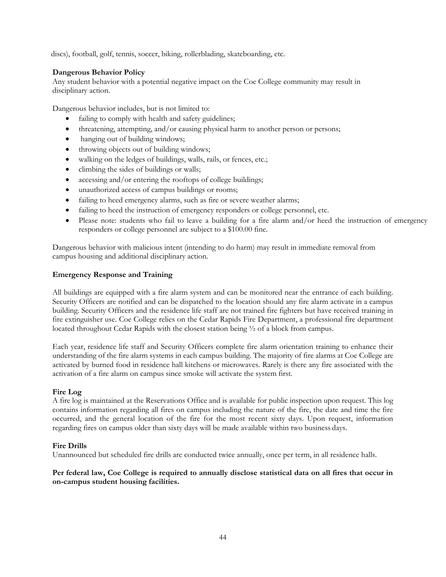discs), football, golf, tennis, soccer, biking, rollerblading, skateboarding, etc.

### **Dangerous Behavior Policy**

Any student behavior with a potential negative impact on the Coe College community may result in disciplinary action.

Dangerous behavior includes, but is not limited to:

- failing to comply with health and safety guidelines;
- threatening, attempting, and/or causing physical harm to another person or persons;
- hanging out of building windows;
- throwing objects out of building windows;
- walking on the ledges of buildings, walls, rails, or fences, etc.;
- climbing the sides of buildings or walls;
- accessing and/or entering the rooftops of college buildings;
- unauthorized access of campus buildings or rooms;
- failing to heed emergency alarms, such as fire or severe weather alarms;
- failing to heed the instruction of emergency responders or college personnel, etc.
- Please note: students who fail to leave a building for a fire alarm and/or heed the instruction of emergency responders or college personnel are subject to a \$100.00 fine.

Dangerous behavior with malicious intent (intending to do harm) may result in immediate removal from campus housing and additional disciplinary action.

### **Emergency Response and Training**

 All buildings are equipped with a fire alarm system and can be monitored near the entrance of each building. fire extinguisher use. Coe College relies on the Cedar Rapids Fire Department, a professional fire department Security Officers are notified and can be dispatched to the location should any fire alarm activate in a campus building. Security Officers and the residence life staff are not trained fire fighters but have received training in located throughout Cedar Rapids with the closest station being ½ of a block from campus.

 activated by burned food in residence hall kitchens or microwaves. Rarely is there any fire associated with the Each year, residence life staff and Security Officers complete fire alarm orientation training to enhance their understanding of the fire alarm systems in each campus building. The majority of fire alarms at Coe College are activation of a fire alarm on campus since smoke will activate the system first.

### **Fire Log**

 contains information regarding all fires on campus including the nature of the fire, the date and time the fire A fire log is maintained at the Reservations Office and is available for public inspection upon request. This log occurred, and the general location of the fire for the most recent sixty days. Upon request, information regarding fires on campus older than sixty days will be made available within two business days.

### **Fire Drills**

Unannounced but scheduled fire drills are conducted twice annually, once per term, in all residence halls.

### Per federal law, Coe College is required to annually disclose statistical data on all fires that occur in **on-campus student housing facilities.**